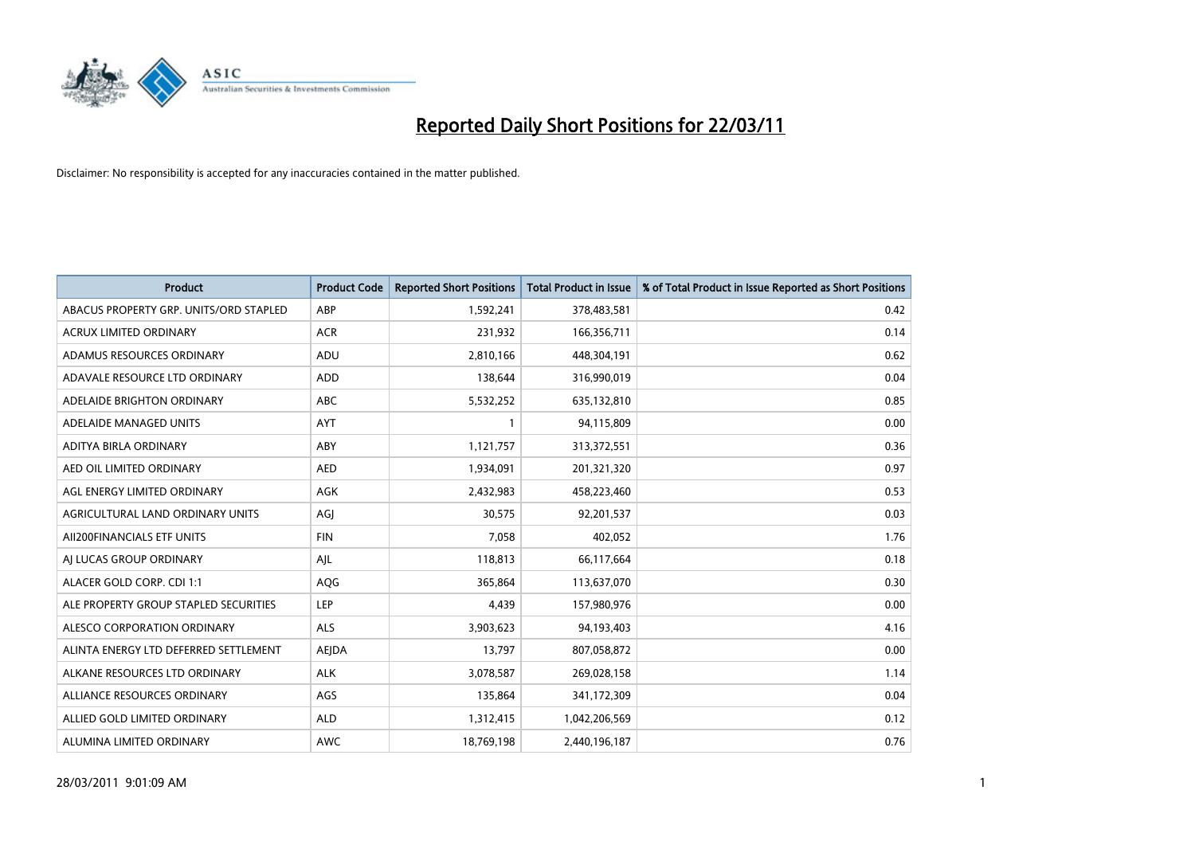

| Product                                | <b>Product Code</b> | <b>Reported Short Positions</b> | <b>Total Product in Issue</b> | % of Total Product in Issue Reported as Short Positions |
|----------------------------------------|---------------------|---------------------------------|-------------------------------|---------------------------------------------------------|
| ABACUS PROPERTY GRP. UNITS/ORD STAPLED | ABP                 | 1,592,241                       | 378,483,581                   | 0.42                                                    |
| ACRUX LIMITED ORDINARY                 | <b>ACR</b>          | 231,932                         | 166,356,711                   | 0.14                                                    |
| ADAMUS RESOURCES ORDINARY              | ADU                 | 2,810,166                       | 448,304,191                   | 0.62                                                    |
| ADAVALE RESOURCE LTD ORDINARY          | <b>ADD</b>          | 138,644                         | 316,990,019                   | 0.04                                                    |
| ADELAIDE BRIGHTON ORDINARY             | <b>ABC</b>          | 5,532,252                       | 635,132,810                   | 0.85                                                    |
| ADELAIDE MANAGED UNITS                 | <b>AYT</b>          |                                 | 94,115,809                    | 0.00                                                    |
| ADITYA BIRLA ORDINARY                  | ABY                 | 1,121,757                       | 313,372,551                   | 0.36                                                    |
| AED OIL LIMITED ORDINARY               | <b>AED</b>          | 1,934,091                       | 201,321,320                   | 0.97                                                    |
| AGL ENERGY LIMITED ORDINARY            | AGK                 | 2,432,983                       | 458,223,460                   | 0.53                                                    |
| AGRICULTURAL LAND ORDINARY UNITS       | AGJ                 | 30,575                          | 92,201,537                    | 0.03                                                    |
| AII200FINANCIALS ETF UNITS             | <b>FIN</b>          | 7,058                           | 402,052                       | 1.76                                                    |
| AI LUCAS GROUP ORDINARY                | AJL                 | 118,813                         | 66,117,664                    | 0.18                                                    |
| ALACER GOLD CORP. CDI 1:1              | AQG                 | 365,864                         | 113,637,070                   | 0.30                                                    |
| ALE PROPERTY GROUP STAPLED SECURITIES  | LEP                 | 4,439                           | 157,980,976                   | 0.00                                                    |
| ALESCO CORPORATION ORDINARY            | <b>ALS</b>          | 3,903,623                       | 94,193,403                    | 4.16                                                    |
| ALINTA ENERGY LTD DEFERRED SETTLEMENT  | <b>AEJDA</b>        | 13,797                          | 807,058,872                   | 0.00                                                    |
| ALKANE RESOURCES LTD ORDINARY          | <b>ALK</b>          | 3,078,587                       | 269,028,158                   | 1.14                                                    |
| ALLIANCE RESOURCES ORDINARY            | <b>AGS</b>          | 135,864                         | 341,172,309                   | 0.04                                                    |
| ALLIED GOLD LIMITED ORDINARY           | <b>ALD</b>          | 1,312,415                       | 1,042,206,569                 | 0.12                                                    |
| ALUMINA LIMITED ORDINARY               | <b>AWC</b>          | 18,769,198                      | 2,440,196,187                 | 0.76                                                    |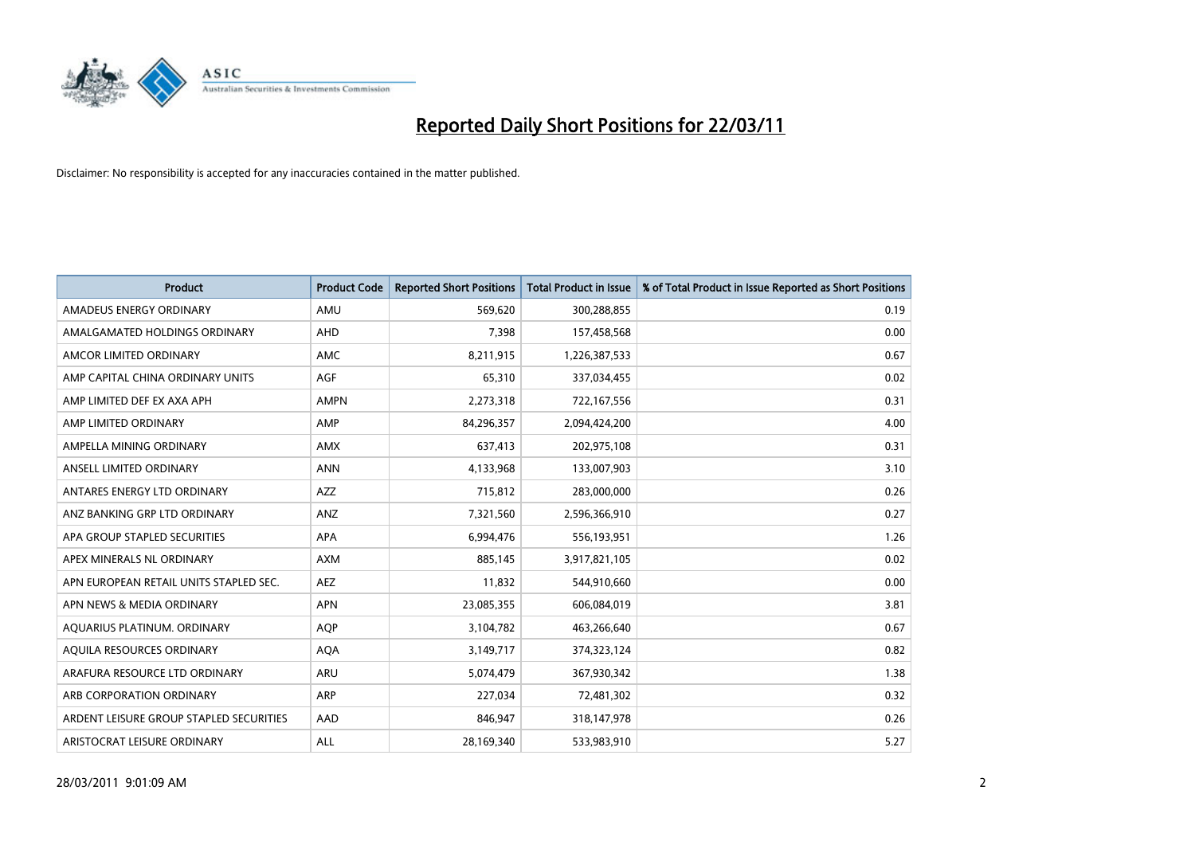

| <b>Product</b>                          | <b>Product Code</b> | <b>Reported Short Positions</b> | Total Product in Issue | % of Total Product in Issue Reported as Short Positions |
|-----------------------------------------|---------------------|---------------------------------|------------------------|---------------------------------------------------------|
| AMADEUS ENERGY ORDINARY                 | AMU                 | 569,620                         | 300,288,855            | 0.19                                                    |
| AMALGAMATED HOLDINGS ORDINARY           | <b>AHD</b>          | 7,398                           | 157,458,568            | 0.00                                                    |
| AMCOR LIMITED ORDINARY                  | <b>AMC</b>          | 8,211,915                       | 1,226,387,533          | 0.67                                                    |
| AMP CAPITAL CHINA ORDINARY UNITS        | <b>AGF</b>          | 65,310                          | 337,034,455            | 0.02                                                    |
| AMP LIMITED DEF EX AXA APH              | <b>AMPN</b>         | 2,273,318                       | 722,167,556            | 0.31                                                    |
| AMP LIMITED ORDINARY                    | AMP                 | 84,296,357                      | 2,094,424,200          | 4.00                                                    |
| AMPELLA MINING ORDINARY                 | <b>AMX</b>          | 637,413                         | 202,975,108            | 0.31                                                    |
| ANSELL LIMITED ORDINARY                 | <b>ANN</b>          | 4,133,968                       | 133,007,903            | 3.10                                                    |
| ANTARES ENERGY LTD ORDINARY             | <b>AZZ</b>          | 715,812                         | 283,000,000            | 0.26                                                    |
| ANZ BANKING GRP LTD ORDINARY            | ANZ                 | 7,321,560                       | 2,596,366,910          | 0.27                                                    |
| APA GROUP STAPLED SECURITIES            | <b>APA</b>          | 6,994,476                       | 556,193,951            | 1.26                                                    |
| APEX MINERALS NL ORDINARY               | <b>AXM</b>          | 885,145                         | 3,917,821,105          | 0.02                                                    |
| APN EUROPEAN RETAIL UNITS STAPLED SEC.  | <b>AEZ</b>          | 11.832                          | 544,910,660            | 0.00                                                    |
| APN NEWS & MEDIA ORDINARY               | <b>APN</b>          | 23,085,355                      | 606,084,019            | 3.81                                                    |
| AQUARIUS PLATINUM. ORDINARY             | <b>AOP</b>          | 3,104,782                       | 463,266,640            | 0.67                                                    |
| AQUILA RESOURCES ORDINARY               | <b>AQA</b>          | 3,149,717                       | 374,323,124            | 0.82                                                    |
| ARAFURA RESOURCE LTD ORDINARY           | <b>ARU</b>          | 5,074,479                       | 367,930,342            | 1.38                                                    |
| ARB CORPORATION ORDINARY                | <b>ARP</b>          | 227,034                         | 72,481,302             | 0.32                                                    |
| ARDENT LEISURE GROUP STAPLED SECURITIES | AAD                 | 846,947                         | 318,147,978            | 0.26                                                    |
| ARISTOCRAT LEISURE ORDINARY             | ALL                 | 28,169,340                      | 533,983,910            | 5.27                                                    |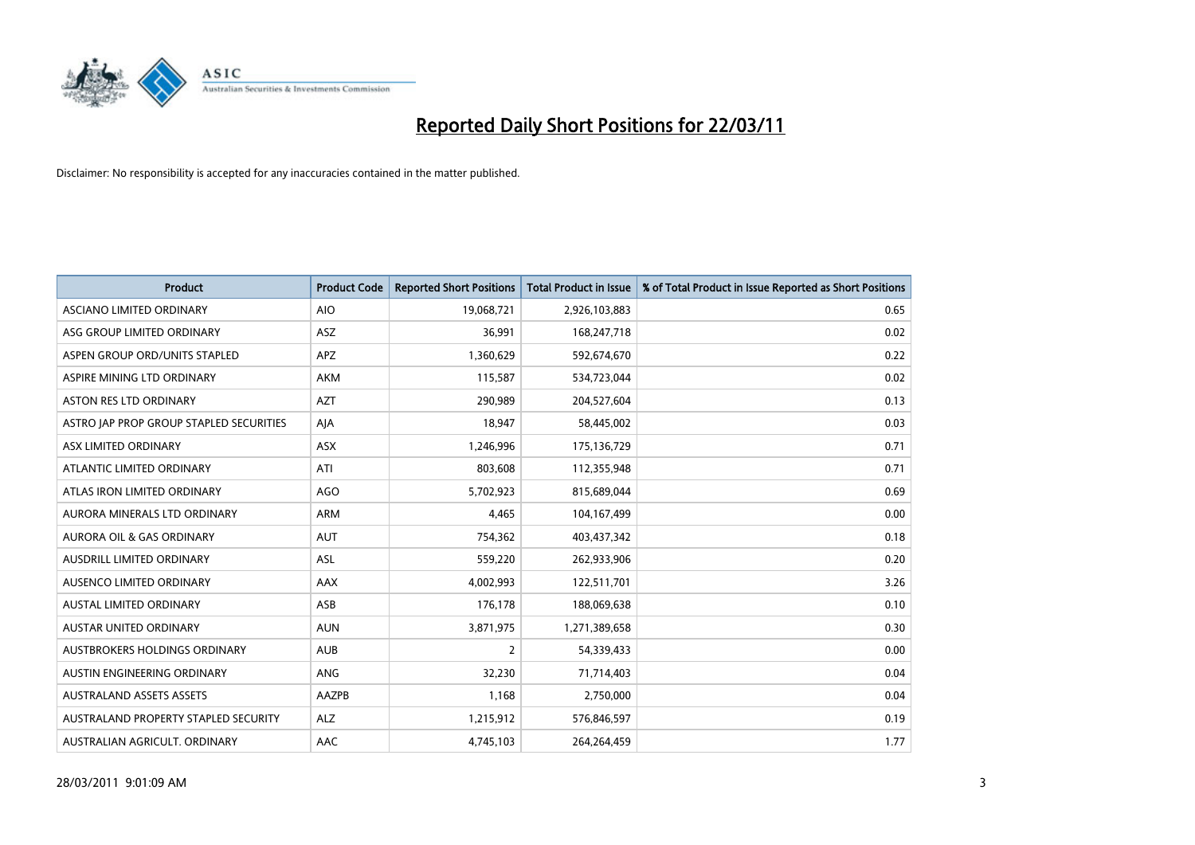

| <b>Product</b>                          | <b>Product Code</b> | <b>Reported Short Positions</b> | <b>Total Product in Issue</b> | % of Total Product in Issue Reported as Short Positions |
|-----------------------------------------|---------------------|---------------------------------|-------------------------------|---------------------------------------------------------|
| ASCIANO LIMITED ORDINARY                | <b>AIO</b>          | 19,068,721                      | 2,926,103,883                 | 0.65                                                    |
| ASG GROUP LIMITED ORDINARY              | ASZ                 | 36,991                          | 168,247,718                   | 0.02                                                    |
| ASPEN GROUP ORD/UNITS STAPLED           | <b>APZ</b>          | 1,360,629                       | 592,674,670                   | 0.22                                                    |
| ASPIRE MINING LTD ORDINARY              | <b>AKM</b>          | 115,587                         | 534,723,044                   | 0.02                                                    |
| <b>ASTON RES LTD ORDINARY</b>           | <b>AZT</b>          | 290,989                         | 204,527,604                   | 0.13                                                    |
| ASTRO JAP PROP GROUP STAPLED SECURITIES | AJA                 | 18,947                          | 58,445,002                    | 0.03                                                    |
| ASX LIMITED ORDINARY                    | <b>ASX</b>          | 1,246,996                       | 175,136,729                   | 0.71                                                    |
| ATLANTIC LIMITED ORDINARY               | ATI                 | 803,608                         | 112,355,948                   | 0.71                                                    |
| ATLAS IRON LIMITED ORDINARY             | AGO                 | 5,702,923                       | 815,689,044                   | 0.69                                                    |
| AURORA MINERALS LTD ORDINARY            | <b>ARM</b>          | 4,465                           | 104,167,499                   | 0.00                                                    |
| AURORA OIL & GAS ORDINARY               | <b>AUT</b>          | 754,362                         | 403,437,342                   | 0.18                                                    |
| AUSDRILL LIMITED ORDINARY               | ASL                 | 559,220                         | 262,933,906                   | 0.20                                                    |
| AUSENCO LIMITED ORDINARY                | AAX                 | 4,002,993                       | 122,511,701                   | 3.26                                                    |
| <b>AUSTAL LIMITED ORDINARY</b>          | ASB                 | 176,178                         | 188,069,638                   | 0.10                                                    |
| <b>AUSTAR UNITED ORDINARY</b>           | <b>AUN</b>          | 3,871,975                       | 1,271,389,658                 | 0.30                                                    |
| AUSTBROKERS HOLDINGS ORDINARY           | <b>AUB</b>          | 2                               | 54,339,433                    | 0.00                                                    |
| AUSTIN ENGINEERING ORDINARY             | ANG                 | 32,230                          | 71,714,403                    | 0.04                                                    |
| <b>AUSTRALAND ASSETS ASSETS</b>         | AAZPB               | 1,168                           | 2,750,000                     | 0.04                                                    |
| AUSTRALAND PROPERTY STAPLED SECURITY    | <b>ALZ</b>          | 1,215,912                       | 576,846,597                   | 0.19                                                    |
| AUSTRALIAN AGRICULT. ORDINARY           | AAC                 | 4,745,103                       | 264,264,459                   | 1.77                                                    |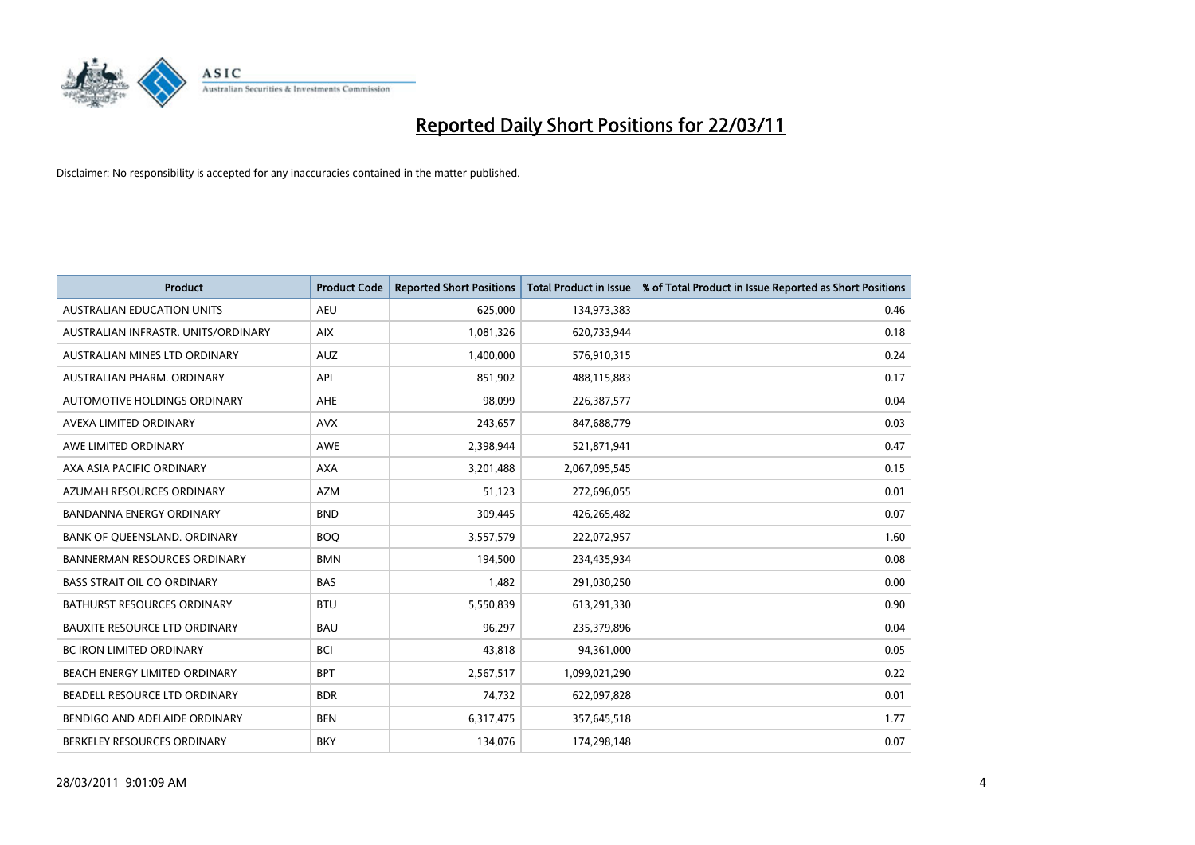

| <b>Product</b>                       | <b>Product Code</b> | <b>Reported Short Positions</b> | <b>Total Product in Issue</b> | % of Total Product in Issue Reported as Short Positions |
|--------------------------------------|---------------------|---------------------------------|-------------------------------|---------------------------------------------------------|
| <b>AUSTRALIAN EDUCATION UNITS</b>    | <b>AEU</b>          | 625,000                         | 134,973,383                   | 0.46                                                    |
| AUSTRALIAN INFRASTR. UNITS/ORDINARY  | <b>AIX</b>          | 1,081,326                       | 620,733,944                   | 0.18                                                    |
| AUSTRALIAN MINES LTD ORDINARY        | <b>AUZ</b>          | 1,400,000                       | 576,910,315                   | 0.24                                                    |
| AUSTRALIAN PHARM. ORDINARY           | API                 | 851,902                         | 488,115,883                   | 0.17                                                    |
| AUTOMOTIVE HOLDINGS ORDINARY         | <b>AHE</b>          | 98,099                          | 226,387,577                   | 0.04                                                    |
| AVEXA LIMITED ORDINARY               | <b>AVX</b>          | 243,657                         | 847,688,779                   | 0.03                                                    |
| AWE LIMITED ORDINARY                 | <b>AWE</b>          | 2,398,944                       | 521,871,941                   | 0.47                                                    |
| AXA ASIA PACIFIC ORDINARY            | <b>AXA</b>          | 3,201,488                       | 2,067,095,545                 | 0.15                                                    |
| AZUMAH RESOURCES ORDINARY            | <b>AZM</b>          | 51,123                          | 272,696,055                   | 0.01                                                    |
| <b>BANDANNA ENERGY ORDINARY</b>      | <b>BND</b>          | 309,445                         | 426,265,482                   | 0.07                                                    |
| BANK OF QUEENSLAND. ORDINARY         | <b>BOQ</b>          | 3,557,579                       | 222,072,957                   | 1.60                                                    |
| <b>BANNERMAN RESOURCES ORDINARY</b>  | <b>BMN</b>          | 194,500                         | 234,435,934                   | 0.08                                                    |
| <b>BASS STRAIT OIL CO ORDINARY</b>   | <b>BAS</b>          | 1,482                           | 291,030,250                   | 0.00                                                    |
| BATHURST RESOURCES ORDINARY          | <b>BTU</b>          | 5,550,839                       | 613,291,330                   | 0.90                                                    |
| <b>BAUXITE RESOURCE LTD ORDINARY</b> | <b>BAU</b>          | 96,297                          | 235,379,896                   | 0.04                                                    |
| BC IRON LIMITED ORDINARY             | <b>BCI</b>          | 43,818                          | 94,361,000                    | 0.05                                                    |
| BEACH ENERGY LIMITED ORDINARY        | <b>BPT</b>          | 2,567,517                       | 1,099,021,290                 | 0.22                                                    |
| BEADELL RESOURCE LTD ORDINARY        | <b>BDR</b>          | 74,732                          | 622,097,828                   | 0.01                                                    |
| BENDIGO AND ADELAIDE ORDINARY        | <b>BEN</b>          | 6,317,475                       | 357,645,518                   | 1.77                                                    |
| BERKELEY RESOURCES ORDINARY          | <b>BKY</b>          | 134,076                         | 174,298,148                   | 0.07                                                    |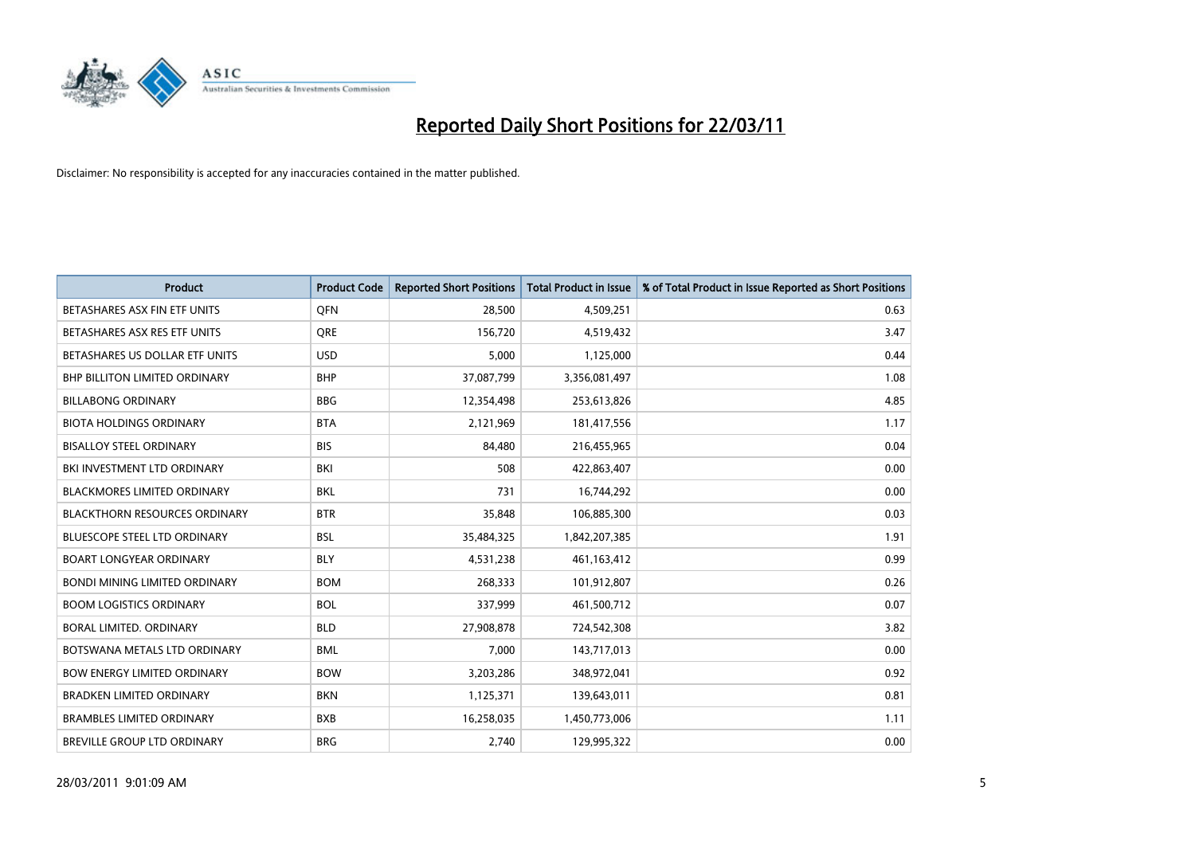

| <b>Product</b>                       | <b>Product Code</b> | <b>Reported Short Positions</b> | <b>Total Product in Issue</b> | % of Total Product in Issue Reported as Short Positions |
|--------------------------------------|---------------------|---------------------------------|-------------------------------|---------------------------------------------------------|
| BETASHARES ASX FIN ETF UNITS         | <b>OFN</b>          | 28,500                          | 4,509,251                     | 0.63                                                    |
| BETASHARES ASX RES ETF UNITS         | <b>ORE</b>          | 156,720                         | 4,519,432                     | 3.47                                                    |
| BETASHARES US DOLLAR ETF UNITS       | <b>USD</b>          | 5,000                           | 1,125,000                     | 0.44                                                    |
| BHP BILLITON LIMITED ORDINARY        | <b>BHP</b>          | 37,087,799                      | 3,356,081,497                 | 1.08                                                    |
| <b>BILLABONG ORDINARY</b>            | <b>BBG</b>          | 12,354,498                      | 253,613,826                   | 4.85                                                    |
| <b>BIOTA HOLDINGS ORDINARY</b>       | <b>BTA</b>          | 2,121,969                       | 181,417,556                   | 1.17                                                    |
| <b>BISALLOY STEEL ORDINARY</b>       | <b>BIS</b>          | 84.480                          | 216,455,965                   | 0.04                                                    |
| BKI INVESTMENT LTD ORDINARY          | <b>BKI</b>          | 508                             | 422,863,407                   | 0.00                                                    |
| <b>BLACKMORES LIMITED ORDINARY</b>   | <b>BKL</b>          | 731                             | 16,744,292                    | 0.00                                                    |
| <b>BLACKTHORN RESOURCES ORDINARY</b> | <b>BTR</b>          | 35,848                          | 106,885,300                   | 0.03                                                    |
| BLUESCOPE STEEL LTD ORDINARY         | <b>BSL</b>          | 35,484,325                      | 1,842,207,385                 | 1.91                                                    |
| <b>BOART LONGYEAR ORDINARY</b>       | <b>BLY</b>          | 4,531,238                       | 461,163,412                   | 0.99                                                    |
| <b>BONDI MINING LIMITED ORDINARY</b> | <b>BOM</b>          | 268,333                         | 101,912,807                   | 0.26                                                    |
| <b>BOOM LOGISTICS ORDINARY</b>       | <b>BOL</b>          | 337,999                         | 461,500,712                   | 0.07                                                    |
| <b>BORAL LIMITED, ORDINARY</b>       | <b>BLD</b>          | 27,908,878                      | 724,542,308                   | 3.82                                                    |
| BOTSWANA METALS LTD ORDINARY         | <b>BML</b>          | 7,000                           | 143,717,013                   | 0.00                                                    |
| <b>BOW ENERGY LIMITED ORDINARY</b>   | <b>BOW</b>          | 3,203,286                       | 348,972,041                   | 0.92                                                    |
| <b>BRADKEN LIMITED ORDINARY</b>      | <b>BKN</b>          | 1,125,371                       | 139,643,011                   | 0.81                                                    |
| <b>BRAMBLES LIMITED ORDINARY</b>     | <b>BXB</b>          | 16,258,035                      | 1,450,773,006                 | 1.11                                                    |
| <b>BREVILLE GROUP LTD ORDINARY</b>   | <b>BRG</b>          | 2.740                           | 129,995,322                   | 0.00                                                    |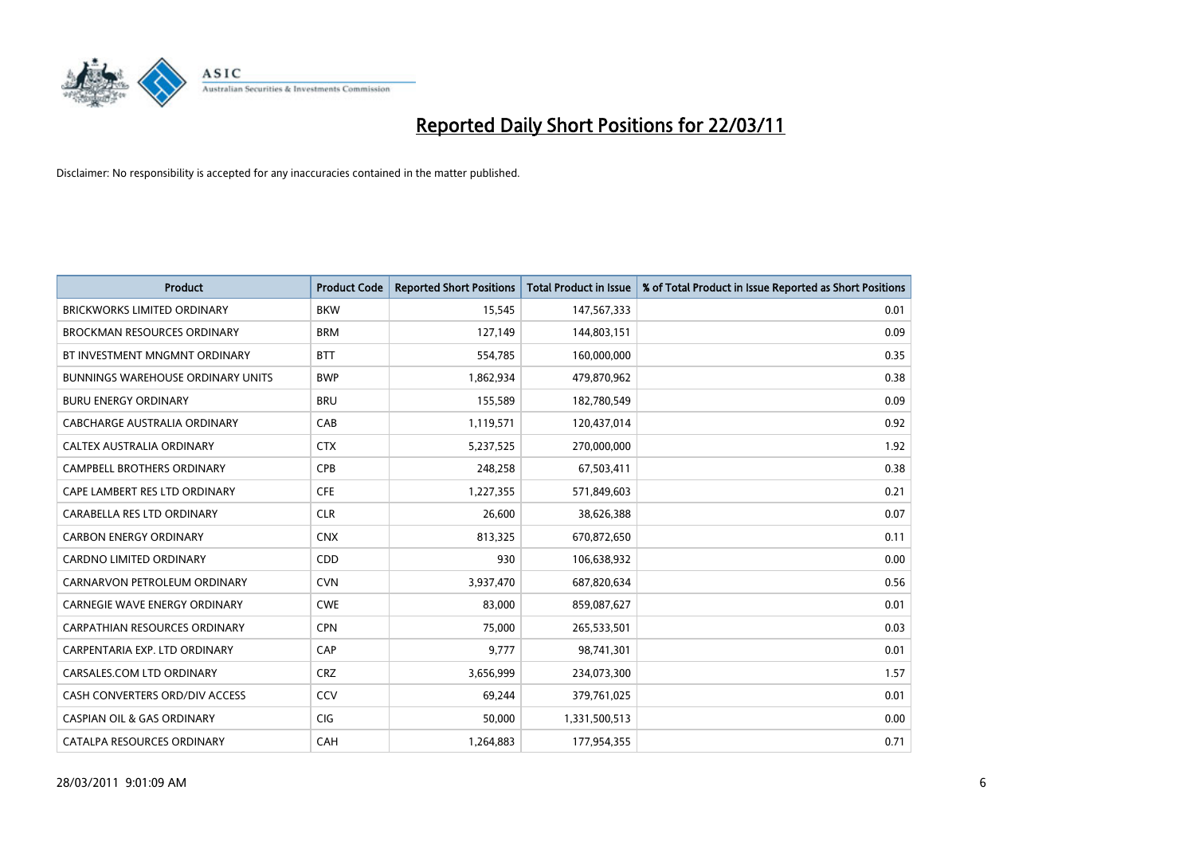

| Product                                  | <b>Product Code</b> | <b>Reported Short Positions</b> | <b>Total Product in Issue</b> | % of Total Product in Issue Reported as Short Positions |
|------------------------------------------|---------------------|---------------------------------|-------------------------------|---------------------------------------------------------|
| <b>BRICKWORKS LIMITED ORDINARY</b>       | <b>BKW</b>          | 15,545                          | 147,567,333                   | 0.01                                                    |
| <b>BROCKMAN RESOURCES ORDINARY</b>       | <b>BRM</b>          | 127,149                         | 144,803,151                   | 0.09                                                    |
| BT INVESTMENT MNGMNT ORDINARY            | <b>BTT</b>          | 554,785                         | 160,000,000                   | 0.35                                                    |
| <b>BUNNINGS WAREHOUSE ORDINARY UNITS</b> | <b>BWP</b>          | 1,862,934                       | 479,870,962                   | 0.38                                                    |
| <b>BURU ENERGY ORDINARY</b>              | <b>BRU</b>          | 155,589                         | 182,780,549                   | 0.09                                                    |
| CABCHARGE AUSTRALIA ORDINARY             | CAB                 | 1,119,571                       | 120,437,014                   | 0.92                                                    |
| CALTEX AUSTRALIA ORDINARY                | <b>CTX</b>          | 5,237,525                       | 270,000,000                   | 1.92                                                    |
| CAMPBELL BROTHERS ORDINARY               | <b>CPB</b>          | 248,258                         | 67,503,411                    | 0.38                                                    |
| CAPE LAMBERT RES LTD ORDINARY            | <b>CFE</b>          | 1,227,355                       | 571,849,603                   | 0.21                                                    |
| CARABELLA RES LTD ORDINARY               | <b>CLR</b>          | 26,600                          | 38,626,388                    | 0.07                                                    |
| <b>CARBON ENERGY ORDINARY</b>            | <b>CNX</b>          | 813,325                         | 670,872,650                   | 0.11                                                    |
| <b>CARDNO LIMITED ORDINARY</b>           | CDD                 | 930                             | 106,638,932                   | 0.00                                                    |
| CARNARVON PETROLEUM ORDINARY             | <b>CVN</b>          | 3,937,470                       | 687,820,634                   | 0.56                                                    |
| <b>CARNEGIE WAVE ENERGY ORDINARY</b>     | <b>CWE</b>          | 83.000                          | 859,087,627                   | 0.01                                                    |
| <b>CARPATHIAN RESOURCES ORDINARY</b>     | <b>CPN</b>          | 75,000                          | 265,533,501                   | 0.03                                                    |
| CARPENTARIA EXP. LTD ORDINARY            | <b>CAP</b>          | 9,777                           | 98,741,301                    | 0.01                                                    |
| CARSALES.COM LTD ORDINARY                | <b>CRZ</b>          | 3,656,999                       | 234,073,300                   | 1.57                                                    |
| CASH CONVERTERS ORD/DIV ACCESS           | <b>CCV</b>          | 69,244                          | 379,761,025                   | 0.01                                                    |
| <b>CASPIAN OIL &amp; GAS ORDINARY</b>    | <b>CIG</b>          | 50,000                          | 1,331,500,513                 | 0.00                                                    |
| <b>CATALPA RESOURCES ORDINARY</b>        | CAH                 | 1,264,883                       | 177,954,355                   | 0.71                                                    |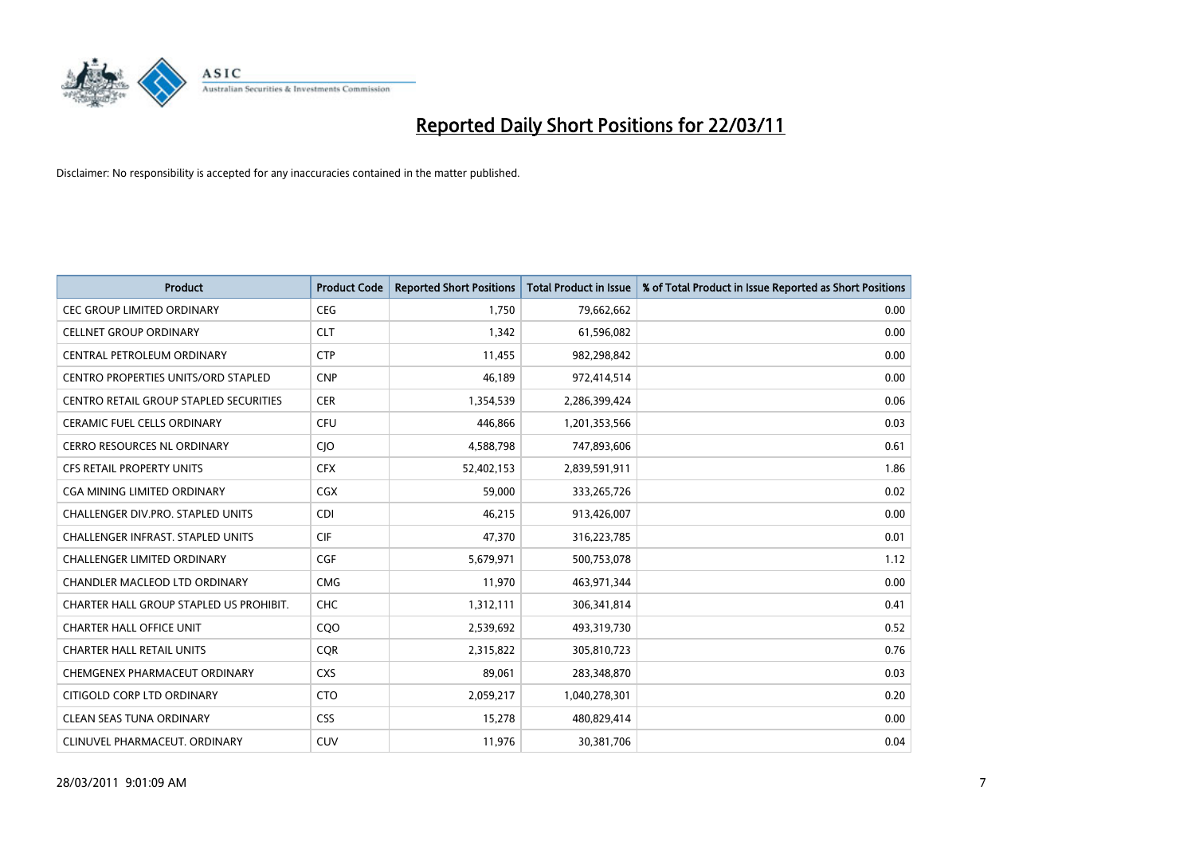

| <b>Product</b>                           | <b>Product Code</b> | <b>Reported Short Positions</b> | <b>Total Product in Issue</b> | % of Total Product in Issue Reported as Short Positions |
|------------------------------------------|---------------------|---------------------------------|-------------------------------|---------------------------------------------------------|
| <b>CEC GROUP LIMITED ORDINARY</b>        | <b>CEG</b>          | 1,750                           | 79,662,662                    | 0.00                                                    |
| <b>CELLNET GROUP ORDINARY</b>            | <b>CLT</b>          | 1,342                           | 61,596,082                    | 0.00                                                    |
| CENTRAL PETROLEUM ORDINARY               | <b>CTP</b>          | 11,455                          | 982,298,842                   | 0.00                                                    |
| CENTRO PROPERTIES UNITS/ORD STAPLED      | <b>CNP</b>          | 46,189                          | 972,414,514                   | 0.00                                                    |
| CENTRO RETAIL GROUP STAPLED SECURITIES   | <b>CER</b>          | 1,354,539                       | 2,286,399,424                 | 0.06                                                    |
| <b>CERAMIC FUEL CELLS ORDINARY</b>       | <b>CFU</b>          | 446,866                         | 1,201,353,566                 | 0.03                                                    |
| <b>CERRO RESOURCES NL ORDINARY</b>       | CJO                 | 4,588,798                       | 747,893,606                   | 0.61                                                    |
| <b>CFS RETAIL PROPERTY UNITS</b>         | <b>CFX</b>          | 52,402,153                      | 2,839,591,911                 | 1.86                                                    |
| <b>CGA MINING LIMITED ORDINARY</b>       | CGX                 | 59,000                          | 333,265,726                   | 0.02                                                    |
| <b>CHALLENGER DIV.PRO. STAPLED UNITS</b> | <b>CDI</b>          | 46,215                          | 913,426,007                   | 0.00                                                    |
| CHALLENGER INFRAST. STAPLED UNITS        | <b>CIF</b>          | 47,370                          | 316,223,785                   | 0.01                                                    |
| <b>CHALLENGER LIMITED ORDINARY</b>       | <b>CGF</b>          | 5,679,971                       | 500,753,078                   | 1.12                                                    |
| CHANDLER MACLEOD LTD ORDINARY            | <b>CMG</b>          | 11,970                          | 463,971,344                   | 0.00                                                    |
| CHARTER HALL GROUP STAPLED US PROHIBIT.  | <b>CHC</b>          | 1,312,111                       | 306,341,814                   | 0.41                                                    |
| <b>CHARTER HALL OFFICE UNIT</b>          | COO                 | 2,539,692                       | 493,319,730                   | 0.52                                                    |
| CHARTER HALL RETAIL UNITS                | <b>COR</b>          | 2,315,822                       | 305,810,723                   | 0.76                                                    |
| CHEMGENEX PHARMACEUT ORDINARY            | <b>CXS</b>          | 89,061                          | 283,348,870                   | 0.03                                                    |
| CITIGOLD CORP LTD ORDINARY               | <b>CTO</b>          | 2,059,217                       | 1,040,278,301                 | 0.20                                                    |
| <b>CLEAN SEAS TUNA ORDINARY</b>          | <b>CSS</b>          | 15,278                          | 480,829,414                   | 0.00                                                    |
| CLINUVEL PHARMACEUT, ORDINARY            | <b>CUV</b>          | 11,976                          | 30,381,706                    | 0.04                                                    |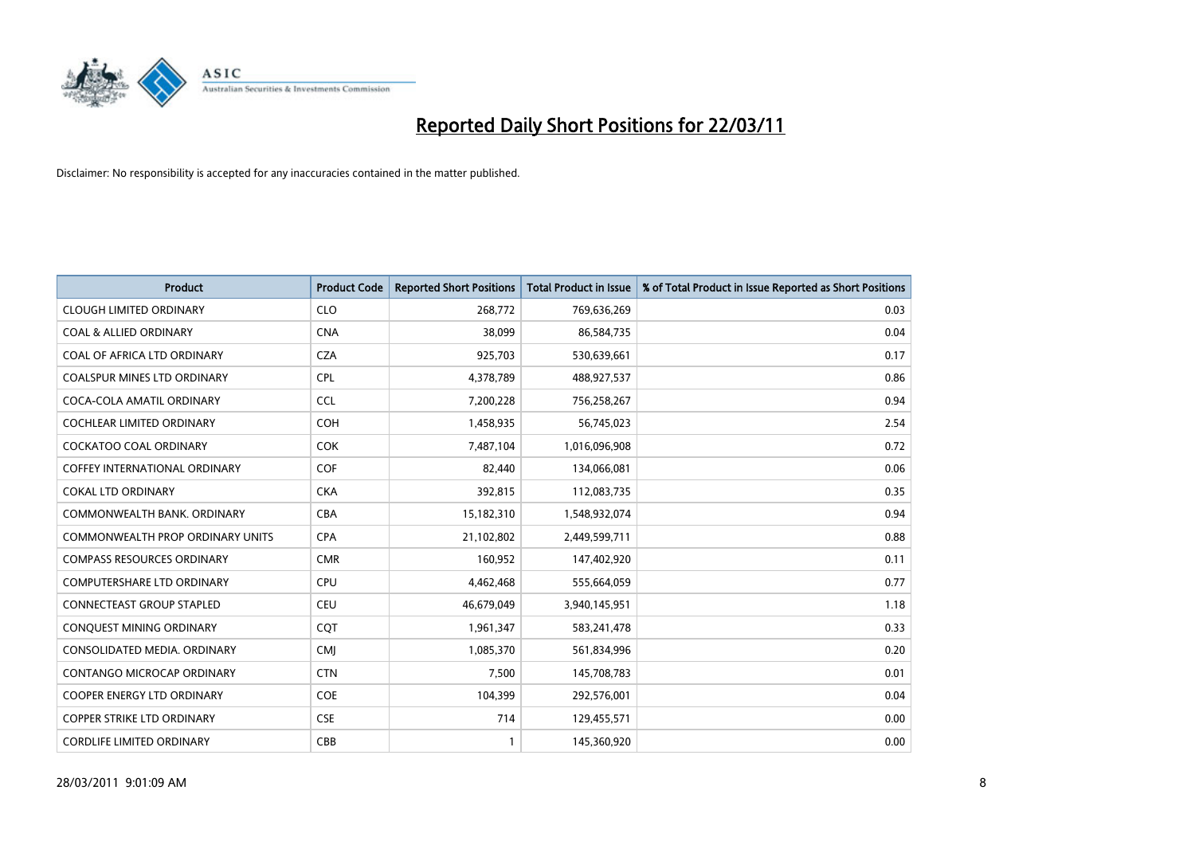

| Product                                 | <b>Product Code</b> | <b>Reported Short Positions</b> | <b>Total Product in Issue</b> | % of Total Product in Issue Reported as Short Positions |
|-----------------------------------------|---------------------|---------------------------------|-------------------------------|---------------------------------------------------------|
| <b>CLOUGH LIMITED ORDINARY</b>          | <b>CLO</b>          | 268,772                         | 769,636,269                   | 0.03                                                    |
| <b>COAL &amp; ALLIED ORDINARY</b>       | <b>CNA</b>          | 38,099                          | 86,584,735                    | 0.04                                                    |
| COAL OF AFRICA LTD ORDINARY             | <b>CZA</b>          | 925,703                         | 530,639,661                   | 0.17                                                    |
| COALSPUR MINES LTD ORDINARY             | <b>CPL</b>          | 4,378,789                       | 488,927,537                   | 0.86                                                    |
| COCA-COLA AMATIL ORDINARY               | <b>CCL</b>          | 7,200,228                       | 756,258,267                   | 0.94                                                    |
| <b>COCHLEAR LIMITED ORDINARY</b>        | <b>COH</b>          | 1,458,935                       | 56,745,023                    | 2.54                                                    |
| <b>COCKATOO COAL ORDINARY</b>           | <b>COK</b>          | 7,487,104                       | 1,016,096,908                 | 0.72                                                    |
| <b>COFFEY INTERNATIONAL ORDINARY</b>    | <b>COF</b>          | 82,440                          | 134,066,081                   | 0.06                                                    |
| <b>COKAL LTD ORDINARY</b>               | <b>CKA</b>          | 392,815                         | 112,083,735                   | 0.35                                                    |
| COMMONWEALTH BANK, ORDINARY             | <b>CBA</b>          | 15,182,310                      | 1,548,932,074                 | 0.94                                                    |
| <b>COMMONWEALTH PROP ORDINARY UNITS</b> | <b>CPA</b>          | 21,102,802                      | 2,449,599,711                 | 0.88                                                    |
| <b>COMPASS RESOURCES ORDINARY</b>       | <b>CMR</b>          | 160,952                         | 147,402,920                   | 0.11                                                    |
| <b>COMPUTERSHARE LTD ORDINARY</b>       | <b>CPU</b>          | 4,462,468                       | 555,664,059                   | 0.77                                                    |
| <b>CONNECTEAST GROUP STAPLED</b>        | <b>CEU</b>          | 46,679,049                      | 3,940,145,951                 | 1.18                                                    |
| CONQUEST MINING ORDINARY                | <b>COT</b>          | 1,961,347                       | 583,241,478                   | 0.33                                                    |
| CONSOLIDATED MEDIA, ORDINARY            | CMI                 | 1,085,370                       | 561,834,996                   | 0.20                                                    |
| <b>CONTANGO MICROCAP ORDINARY</b>       | <b>CTN</b>          | 7,500                           | 145,708,783                   | 0.01                                                    |
| COOPER ENERGY LTD ORDINARY              | <b>COE</b>          | 104,399                         | 292,576,001                   | 0.04                                                    |
| <b>COPPER STRIKE LTD ORDINARY</b>       | <b>CSE</b>          | 714                             | 129,455,571                   | 0.00                                                    |
| <b>CORDLIFE LIMITED ORDINARY</b>        | CBB                 | 1                               | 145,360,920                   | 0.00                                                    |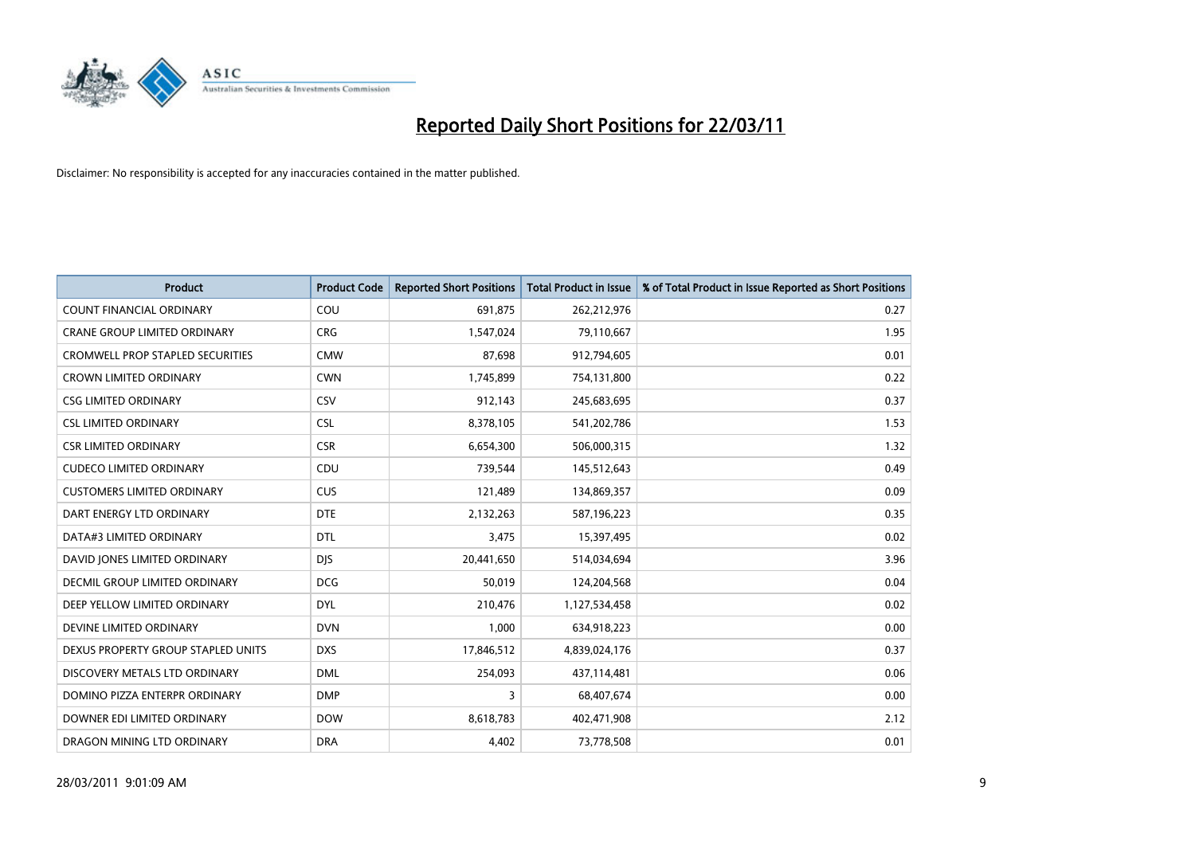

| Product                                 | <b>Product Code</b> | <b>Reported Short Positions</b> | Total Product in Issue | % of Total Product in Issue Reported as Short Positions |
|-----------------------------------------|---------------------|---------------------------------|------------------------|---------------------------------------------------------|
| <b>COUNT FINANCIAL ORDINARY</b>         | COU                 | 691,875                         | 262,212,976            | 0.27                                                    |
| CRANE GROUP LIMITED ORDINARY            | <b>CRG</b>          | 1,547,024                       | 79,110,667             | 1.95                                                    |
| <b>CROMWELL PROP STAPLED SECURITIES</b> | <b>CMW</b>          | 87,698                          | 912,794,605            | 0.01                                                    |
| <b>CROWN LIMITED ORDINARY</b>           | <b>CWN</b>          | 1,745,899                       | 754,131,800            | 0.22                                                    |
| <b>CSG LIMITED ORDINARY</b>             | CSV                 | 912,143                         | 245,683,695            | 0.37                                                    |
| <b>CSL LIMITED ORDINARY</b>             | <b>CSL</b>          | 8,378,105                       | 541,202,786            | 1.53                                                    |
| <b>CSR LIMITED ORDINARY</b>             | <b>CSR</b>          | 6,654,300                       | 506,000,315            | 1.32                                                    |
| <b>CUDECO LIMITED ORDINARY</b>          | CDU                 | 739,544                         | 145,512,643            | 0.49                                                    |
| <b>CUSTOMERS LIMITED ORDINARY</b>       | <b>CUS</b>          | 121,489                         | 134,869,357            | 0.09                                                    |
| DART ENERGY LTD ORDINARY                | <b>DTE</b>          | 2,132,263                       | 587,196,223            | 0.35                                                    |
| DATA#3 LIMITED ORDINARY                 | <b>DTL</b>          | 3,475                           | 15,397,495             | 0.02                                                    |
| DAVID JONES LIMITED ORDINARY            | <b>DJS</b>          | 20,441,650                      | 514,034,694            | 3.96                                                    |
| <b>DECMIL GROUP LIMITED ORDINARY</b>    | <b>DCG</b>          | 50,019                          | 124,204,568            | 0.04                                                    |
| DEEP YELLOW LIMITED ORDINARY            | <b>DYL</b>          | 210,476                         | 1,127,534,458          | 0.02                                                    |
| DEVINE LIMITED ORDINARY                 | <b>DVN</b>          | 1,000                           | 634,918,223            | 0.00                                                    |
| DEXUS PROPERTY GROUP STAPLED UNITS      | <b>DXS</b>          | 17,846,512                      | 4,839,024,176          | 0.37                                                    |
| DISCOVERY METALS LTD ORDINARY           | <b>DML</b>          | 254,093                         | 437,114,481            | 0.06                                                    |
| DOMINO PIZZA ENTERPR ORDINARY           | <b>DMP</b>          | 3                               | 68,407,674             | 0.00                                                    |
| DOWNER EDI LIMITED ORDINARY             | <b>DOW</b>          | 8,618,783                       | 402,471,908            | 2.12                                                    |
| DRAGON MINING LTD ORDINARY              | <b>DRA</b>          | 4,402                           | 73,778,508             | 0.01                                                    |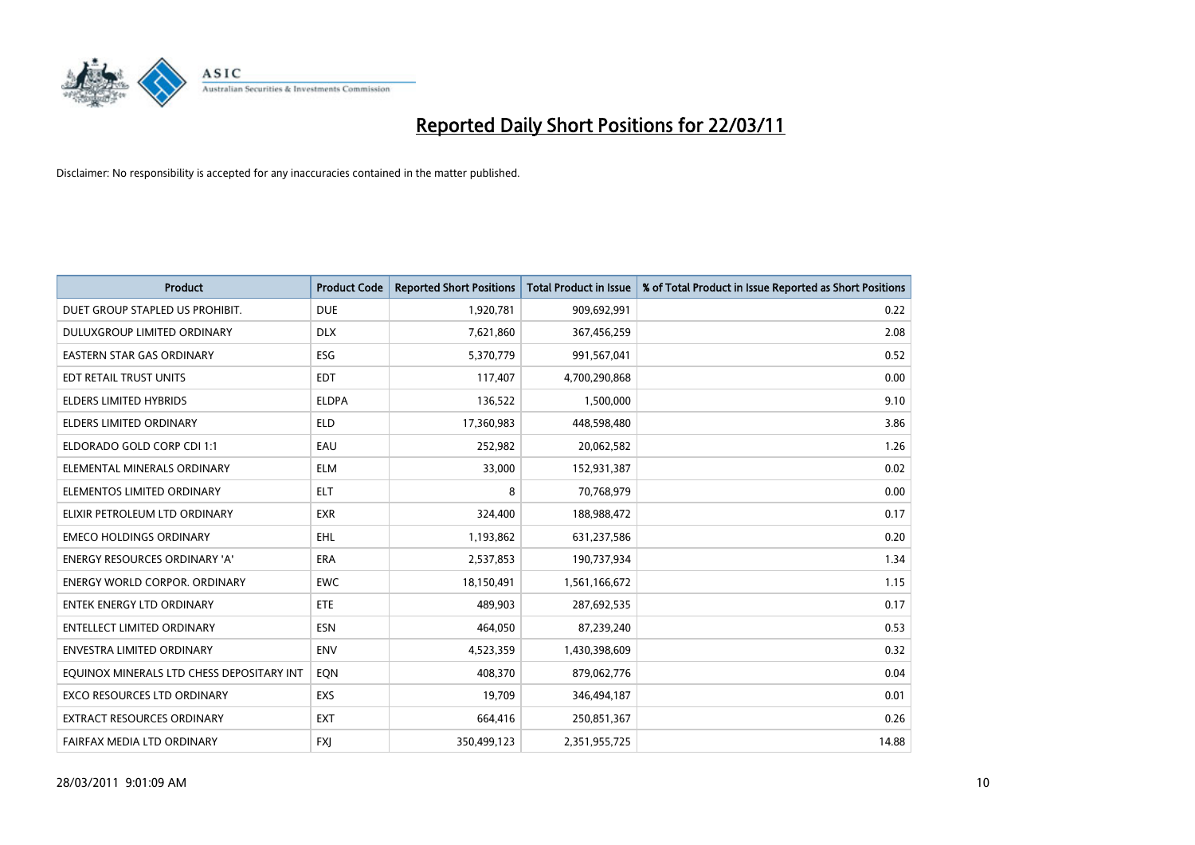

| <b>Product</b>                            | <b>Product Code</b> | <b>Reported Short Positions</b> | Total Product in Issue | % of Total Product in Issue Reported as Short Positions |
|-------------------------------------------|---------------------|---------------------------------|------------------------|---------------------------------------------------------|
| DUET GROUP STAPLED US PROHIBIT.           | <b>DUE</b>          | 1,920,781                       | 909,692,991            | 0.22                                                    |
| DULUXGROUP LIMITED ORDINARY               | <b>DLX</b>          | 7,621,860                       | 367,456,259            | 2.08                                                    |
| <b>EASTERN STAR GAS ORDINARY</b>          | ESG                 | 5,370,779                       | 991,567,041            | 0.52                                                    |
| EDT RETAIL TRUST UNITS                    | <b>EDT</b>          | 117,407                         | 4,700,290,868          | 0.00                                                    |
| <b>ELDERS LIMITED HYBRIDS</b>             | <b>ELDPA</b>        | 136,522                         | 1,500,000              | 9.10                                                    |
| <b>ELDERS LIMITED ORDINARY</b>            | <b>ELD</b>          | 17,360,983                      | 448,598,480            | 3.86                                                    |
| ELDORADO GOLD CORP CDI 1:1                | EAU                 | 252,982                         | 20,062,582             | 1.26                                                    |
| ELEMENTAL MINERALS ORDINARY               | <b>ELM</b>          | 33,000                          | 152,931,387            | 0.02                                                    |
| ELEMENTOS LIMITED ORDINARY                | <b>ELT</b>          | 8                               | 70,768,979             | 0.00                                                    |
| ELIXIR PETROLEUM LTD ORDINARY             | <b>EXR</b>          | 324,400                         | 188,988,472            | 0.17                                                    |
| <b>EMECO HOLDINGS ORDINARY</b>            | <b>EHL</b>          | 1,193,862                       | 631,237,586            | 0.20                                                    |
| <b>ENERGY RESOURCES ORDINARY 'A'</b>      | ERA                 | 2,537,853                       | 190,737,934            | 1.34                                                    |
| <b>ENERGY WORLD CORPOR, ORDINARY</b>      | <b>EWC</b>          | 18,150,491                      | 1,561,166,672          | 1.15                                                    |
| <b>ENTEK ENERGY LTD ORDINARY</b>          | <b>ETE</b>          | 489.903                         | 287,692,535            | 0.17                                                    |
| <b>ENTELLECT LIMITED ORDINARY</b>         | <b>ESN</b>          | 464,050                         | 87,239,240             | 0.53                                                    |
| <b>ENVESTRA LIMITED ORDINARY</b>          | <b>ENV</b>          | 4,523,359                       | 1,430,398,609          | 0.32                                                    |
| EQUINOX MINERALS LTD CHESS DEPOSITARY INT | EQN                 | 408,370                         | 879,062,776            | 0.04                                                    |
| EXCO RESOURCES LTD ORDINARY               | <b>EXS</b>          | 19,709                          | 346,494,187            | 0.01                                                    |
| <b>EXTRACT RESOURCES ORDINARY</b>         | <b>EXT</b>          | 664,416                         | 250,851,367            | 0.26                                                    |
| FAIRFAX MEDIA LTD ORDINARY                | <b>FXJ</b>          | 350,499,123                     | 2,351,955,725          | 14.88                                                   |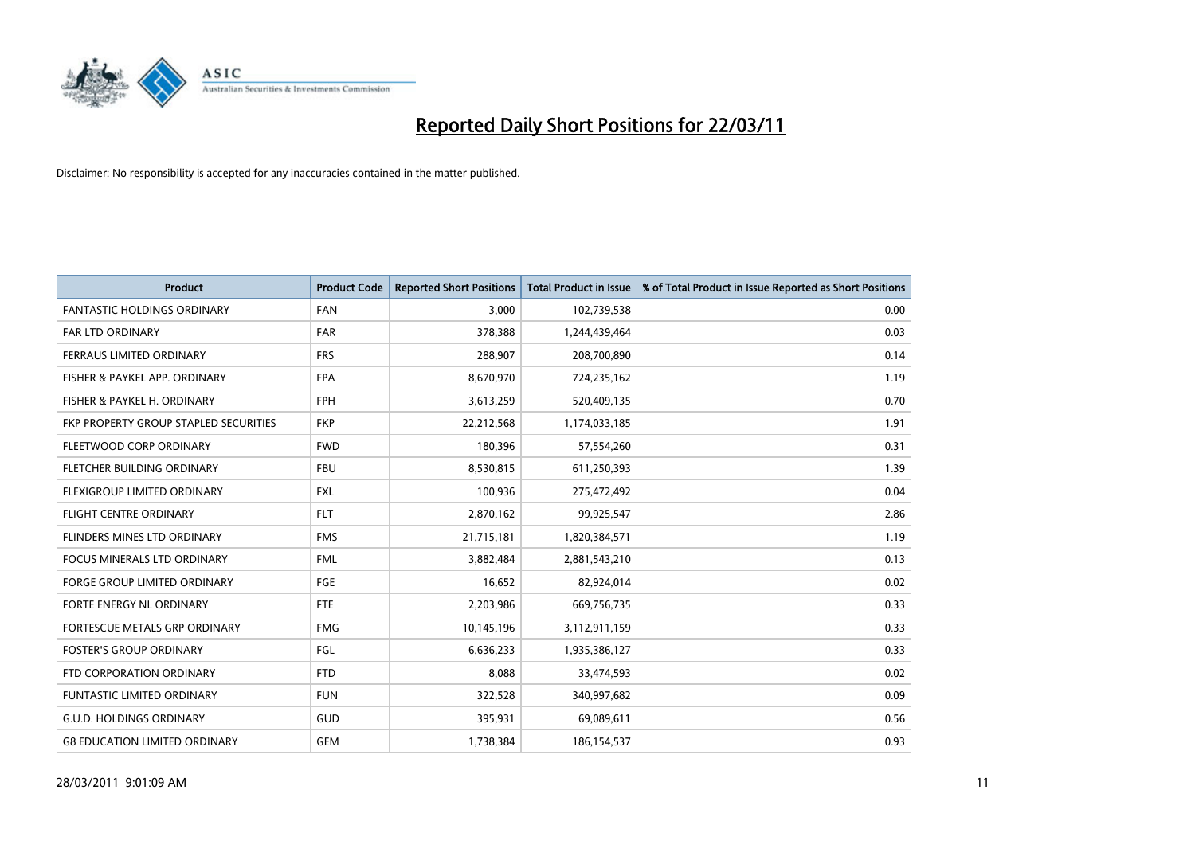

| Product                               | <b>Product Code</b> | <b>Reported Short Positions</b> | <b>Total Product in Issue</b> | % of Total Product in Issue Reported as Short Positions |
|---------------------------------------|---------------------|---------------------------------|-------------------------------|---------------------------------------------------------|
| <b>FANTASTIC HOLDINGS ORDINARY</b>    | <b>FAN</b>          | 3,000                           | 102,739,538                   | 0.00                                                    |
| <b>FAR LTD ORDINARY</b>               | <b>FAR</b>          | 378,388                         | 1,244,439,464                 | 0.03                                                    |
| FERRAUS LIMITED ORDINARY              | <b>FRS</b>          | 288,907                         | 208,700,890                   | 0.14                                                    |
| FISHER & PAYKEL APP. ORDINARY         | <b>FPA</b>          | 8,670,970                       | 724,235,162                   | 1.19                                                    |
| FISHER & PAYKEL H. ORDINARY           | <b>FPH</b>          | 3,613,259                       | 520,409,135                   | 0.70                                                    |
| FKP PROPERTY GROUP STAPLED SECURITIES | <b>FKP</b>          | 22,212,568                      | 1,174,033,185                 | 1.91                                                    |
| FLEETWOOD CORP ORDINARY               | <b>FWD</b>          | 180,396                         | 57,554,260                    | 0.31                                                    |
| FLETCHER BUILDING ORDINARY            | <b>FBU</b>          | 8,530,815                       | 611,250,393                   | 1.39                                                    |
| FLEXIGROUP LIMITED ORDINARY           | <b>FXL</b>          | 100,936                         | 275,472,492                   | 0.04                                                    |
| <b>FLIGHT CENTRE ORDINARY</b>         | <b>FLT</b>          | 2,870,162                       | 99,925,547                    | 2.86                                                    |
| FLINDERS MINES LTD ORDINARY           | <b>FMS</b>          | 21,715,181                      | 1,820,384,571                 | 1.19                                                    |
| <b>FOCUS MINERALS LTD ORDINARY</b>    | <b>FML</b>          | 3,882,484                       | 2,881,543,210                 | 0.13                                                    |
| <b>FORGE GROUP LIMITED ORDINARY</b>   | FGE                 | 16,652                          | 82,924,014                    | 0.02                                                    |
| FORTE ENERGY NL ORDINARY              | <b>FTE</b>          | 2,203,986                       | 669,756,735                   | 0.33                                                    |
| FORTESCUE METALS GRP ORDINARY         | <b>FMG</b>          | 10,145,196                      | 3,112,911,159                 | 0.33                                                    |
| <b>FOSTER'S GROUP ORDINARY</b>        | FGL                 | 6,636,233                       | 1,935,386,127                 | 0.33                                                    |
| FTD CORPORATION ORDINARY              | <b>FTD</b>          | 8,088                           | 33,474,593                    | 0.02                                                    |
| FUNTASTIC LIMITED ORDINARY            | <b>FUN</b>          | 322,528                         | 340,997,682                   | 0.09                                                    |
| <b>G.U.D. HOLDINGS ORDINARY</b>       | GUD                 | 395,931                         | 69,089,611                    | 0.56                                                    |
| <b>G8 EDUCATION LIMITED ORDINARY</b>  | <b>GEM</b>          | 1,738,384                       | 186,154,537                   | 0.93                                                    |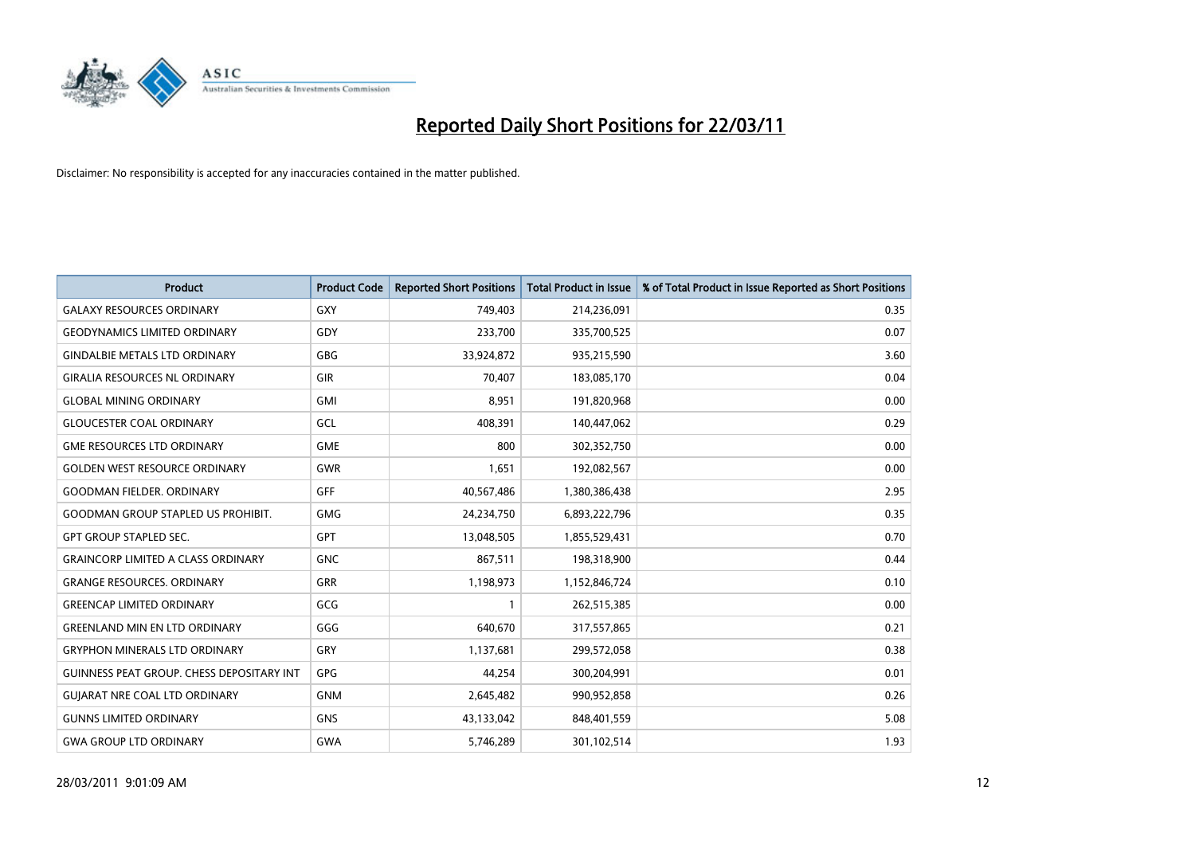

| <b>Product</b>                                   | <b>Product Code</b> | <b>Reported Short Positions</b> | <b>Total Product in Issue</b> | % of Total Product in Issue Reported as Short Positions |
|--------------------------------------------------|---------------------|---------------------------------|-------------------------------|---------------------------------------------------------|
| <b>GALAXY RESOURCES ORDINARY</b>                 | GXY                 | 749,403                         | 214,236,091                   | 0.35                                                    |
| <b>GEODYNAMICS LIMITED ORDINARY</b>              | GDY                 | 233,700                         | 335,700,525                   | 0.07                                                    |
| <b>GINDALBIE METALS LTD ORDINARY</b>             | <b>GBG</b>          | 33,924,872                      | 935,215,590                   | 3.60                                                    |
| <b>GIRALIA RESOURCES NL ORDINARY</b>             | GIR                 | 70,407                          | 183,085,170                   | 0.04                                                    |
| <b>GLOBAL MINING ORDINARY</b>                    | <b>GMI</b>          | 8,951                           | 191,820,968                   | 0.00                                                    |
| <b>GLOUCESTER COAL ORDINARY</b>                  | <b>GCL</b>          | 408.391                         | 140,447,062                   | 0.29                                                    |
| <b>GME RESOURCES LTD ORDINARY</b>                | <b>GME</b>          | 800                             | 302,352,750                   | 0.00                                                    |
| <b>GOLDEN WEST RESOURCE ORDINARY</b>             | <b>GWR</b>          | 1,651                           | 192,082,567                   | 0.00                                                    |
| <b>GOODMAN FIELDER. ORDINARY</b>                 | GFF                 | 40,567,486                      | 1,380,386,438                 | 2.95                                                    |
| <b>GOODMAN GROUP STAPLED US PROHIBIT.</b>        | GMG                 | 24,234,750                      | 6,893,222,796                 | 0.35                                                    |
| <b>GPT GROUP STAPLED SEC.</b>                    | <b>GPT</b>          | 13,048,505                      | 1,855,529,431                 | 0.70                                                    |
| <b>GRAINCORP LIMITED A CLASS ORDINARY</b>        | <b>GNC</b>          | 867,511                         | 198,318,900                   | 0.44                                                    |
| <b>GRANGE RESOURCES, ORDINARY</b>                | <b>GRR</b>          | 1,198,973                       | 1,152,846,724                 | 0.10                                                    |
| <b>GREENCAP LIMITED ORDINARY</b>                 | GCG                 |                                 | 262,515,385                   | 0.00                                                    |
| <b>GREENLAND MIN EN LTD ORDINARY</b>             | GGG                 | 640.670                         | 317,557,865                   | 0.21                                                    |
| <b>GRYPHON MINERALS LTD ORDINARY</b>             | GRY                 | 1,137,681                       | 299,572,058                   | 0.38                                                    |
| <b>GUINNESS PEAT GROUP. CHESS DEPOSITARY INT</b> | <b>GPG</b>          | 44,254                          | 300,204,991                   | 0.01                                                    |
| <b>GUIARAT NRE COAL LTD ORDINARY</b>             | <b>GNM</b>          | 2,645,482                       | 990,952,858                   | 0.26                                                    |
| <b>GUNNS LIMITED ORDINARY</b>                    | <b>GNS</b>          | 43,133,042                      | 848,401,559                   | 5.08                                                    |
| <b>GWA GROUP LTD ORDINARY</b>                    | GWA                 | 5,746,289                       | 301,102,514                   | 1.93                                                    |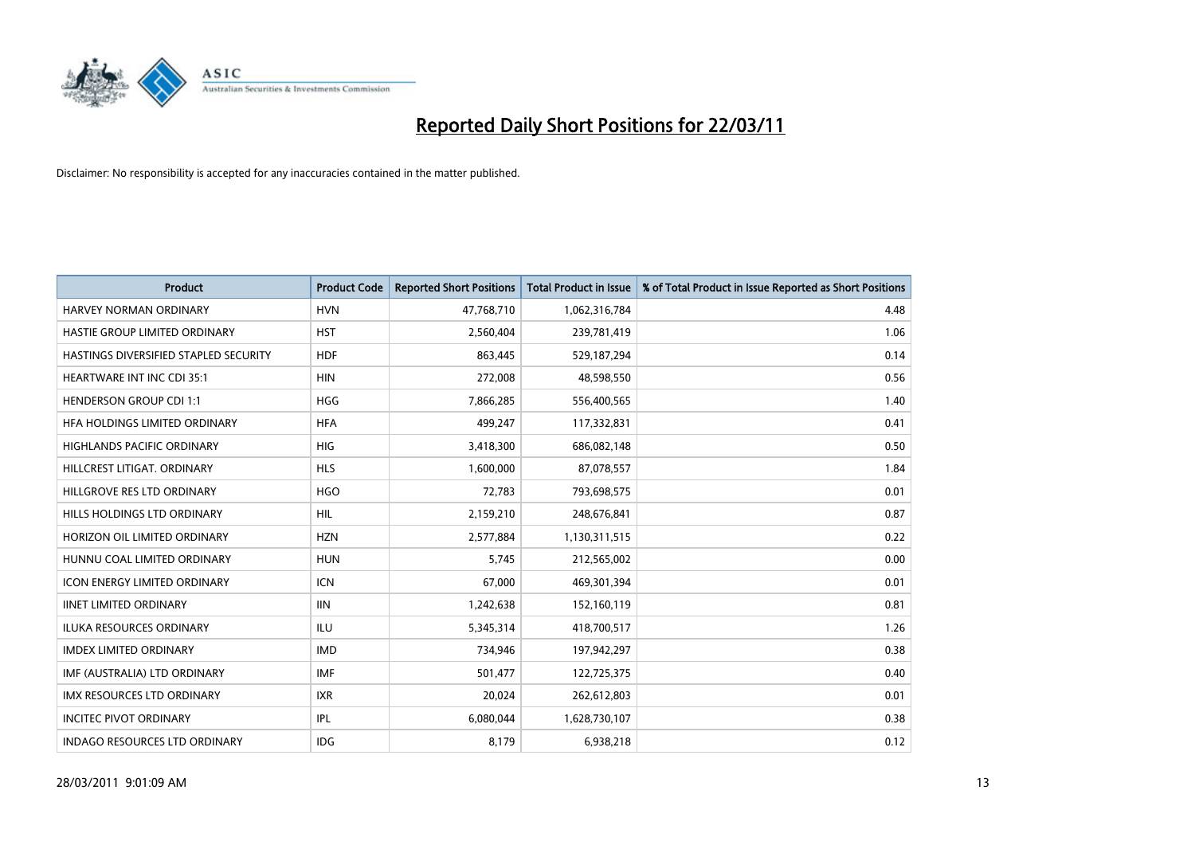

| Product                               | <b>Product Code</b> | <b>Reported Short Positions</b> | <b>Total Product in Issue</b> | % of Total Product in Issue Reported as Short Positions |
|---------------------------------------|---------------------|---------------------------------|-------------------------------|---------------------------------------------------------|
| <b>HARVEY NORMAN ORDINARY</b>         | <b>HVN</b>          | 47,768,710                      | 1,062,316,784                 | 4.48                                                    |
| HASTIE GROUP LIMITED ORDINARY         | <b>HST</b>          | 2,560,404                       | 239,781,419                   | 1.06                                                    |
| HASTINGS DIVERSIFIED STAPLED SECURITY | <b>HDF</b>          | 863,445                         | 529,187,294                   | 0.14                                                    |
| HEARTWARE INT INC CDI 35:1            | <b>HIN</b>          | 272,008                         | 48,598,550                    | 0.56                                                    |
| <b>HENDERSON GROUP CDI 1:1</b>        | <b>HGG</b>          | 7,866,285                       | 556,400,565                   | 1.40                                                    |
| HFA HOLDINGS LIMITED ORDINARY         | <b>HFA</b>          | 499,247                         | 117,332,831                   | 0.41                                                    |
| <b>HIGHLANDS PACIFIC ORDINARY</b>     | <b>HIG</b>          | 3,418,300                       | 686,082,148                   | 0.50                                                    |
| HILLCREST LITIGAT, ORDINARY           | <b>HLS</b>          | 1,600,000                       | 87,078,557                    | 1.84                                                    |
| HILLGROVE RES LTD ORDINARY            | <b>HGO</b>          | 72,783                          | 793,698,575                   | 0.01                                                    |
| HILLS HOLDINGS LTD ORDINARY           | <b>HIL</b>          | 2,159,210                       | 248,676,841                   | 0.87                                                    |
| HORIZON OIL LIMITED ORDINARY          | <b>HZN</b>          | 2,577,884                       | 1,130,311,515                 | 0.22                                                    |
| HUNNU COAL LIMITED ORDINARY           | <b>HUN</b>          | 5,745                           | 212,565,002                   | 0.00                                                    |
| <b>ICON ENERGY LIMITED ORDINARY</b>   | <b>ICN</b>          | 67,000                          | 469,301,394                   | 0.01                                                    |
| <b>IINET LIMITED ORDINARY</b>         | <b>IIN</b>          | 1,242,638                       | 152,160,119                   | 0.81                                                    |
| <b>ILUKA RESOURCES ORDINARY</b>       | ILU                 | 5,345,314                       | 418,700,517                   | 1.26                                                    |
| <b>IMDEX LIMITED ORDINARY</b>         | <b>IMD</b>          | 734,946                         | 197,942,297                   | 0.38                                                    |
| IMF (AUSTRALIA) LTD ORDINARY          | <b>IMF</b>          | 501,477                         | 122,725,375                   | 0.40                                                    |
| IMX RESOURCES LTD ORDINARY            | <b>IXR</b>          | 20,024                          | 262,612,803                   | 0.01                                                    |
| <b>INCITEC PIVOT ORDINARY</b>         | IPL                 | 6,080,044                       | 1,628,730,107                 | 0.38                                                    |
| <b>INDAGO RESOURCES LTD ORDINARY</b>  | <b>IDG</b>          | 8,179                           | 6,938,218                     | 0.12                                                    |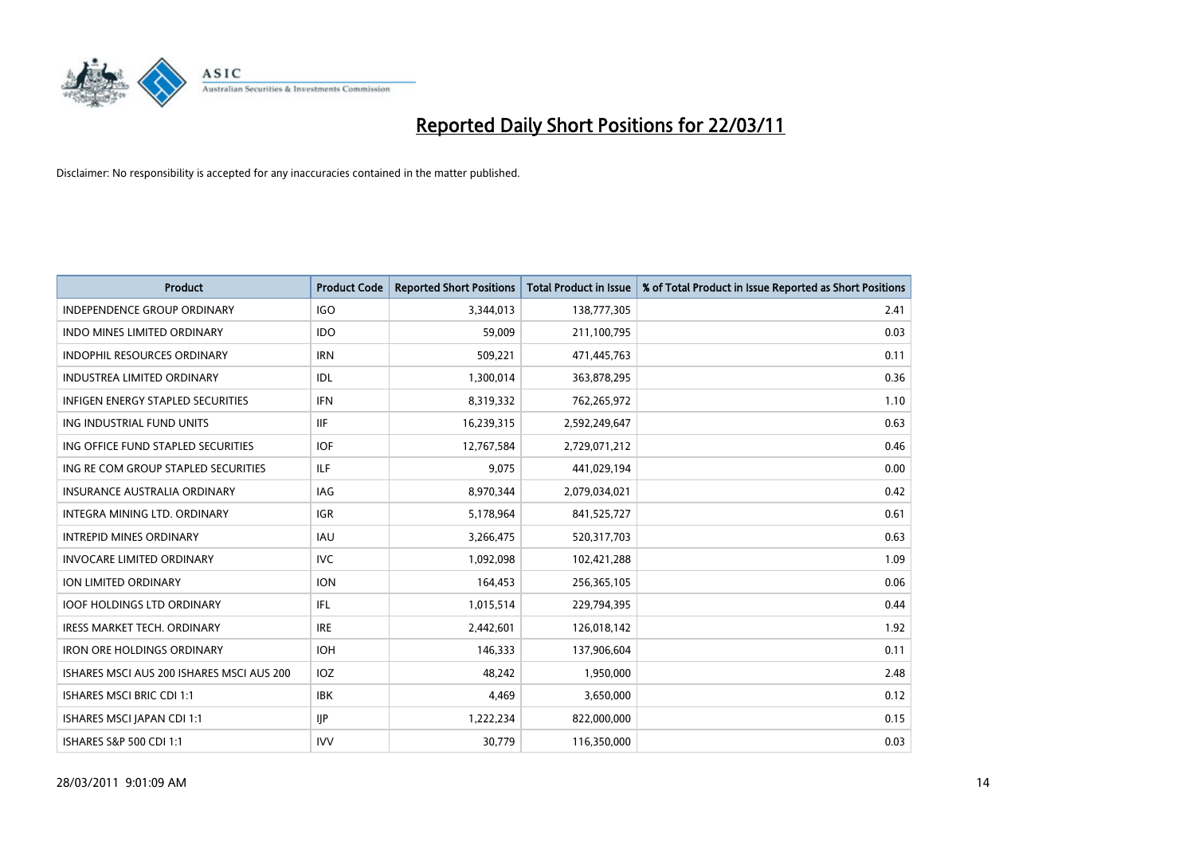

| Product                                   | <b>Product Code</b> | <b>Reported Short Positions</b> | <b>Total Product in Issue</b> | % of Total Product in Issue Reported as Short Positions |
|-------------------------------------------|---------------------|---------------------------------|-------------------------------|---------------------------------------------------------|
| <b>INDEPENDENCE GROUP ORDINARY</b>        | <b>IGO</b>          | 3,344,013                       | 138,777,305                   | 2.41                                                    |
| INDO MINES LIMITED ORDINARY               | <b>IDO</b>          | 59,009                          | 211,100,795                   | 0.03                                                    |
| <b>INDOPHIL RESOURCES ORDINARY</b>        | <b>IRN</b>          | 509,221                         | 471,445,763                   | 0.11                                                    |
| <b>INDUSTREA LIMITED ORDINARY</b>         | IDL                 | 1,300,014                       | 363,878,295                   | 0.36                                                    |
| <b>INFIGEN ENERGY STAPLED SECURITIES</b>  | <b>IFN</b>          | 8,319,332                       | 762,265,972                   | 1.10                                                    |
| ING INDUSTRIAL FUND UNITS                 | <b>IIF</b>          | 16,239,315                      | 2,592,249,647                 | 0.63                                                    |
| ING OFFICE FUND STAPLED SECURITIES        | <b>IOF</b>          | 12,767,584                      | 2,729,071,212                 | 0.46                                                    |
| ING RE COM GROUP STAPLED SECURITIES       | ILF.                | 9,075                           | 441,029,194                   | 0.00                                                    |
| INSURANCE AUSTRALIA ORDINARY              | IAG                 | 8,970,344                       | 2,079,034,021                 | 0.42                                                    |
| INTEGRA MINING LTD, ORDINARY              | <b>IGR</b>          | 5,178,964                       | 841,525,727                   | 0.61                                                    |
| <b>INTREPID MINES ORDINARY</b>            | <b>IAU</b>          | 3,266,475                       | 520,317,703                   | 0.63                                                    |
| <b>INVOCARE LIMITED ORDINARY</b>          | IVC                 | 1,092,098                       | 102,421,288                   | 1.09                                                    |
| ION LIMITED ORDINARY                      | <b>ION</b>          | 164,453                         | 256,365,105                   | 0.06                                                    |
| <b>IOOF HOLDINGS LTD ORDINARY</b>         | IFL.                | 1,015,514                       | 229,794,395                   | 0.44                                                    |
| <b>IRESS MARKET TECH. ORDINARY</b>        | <b>IRE</b>          | 2,442,601                       | 126,018,142                   | 1.92                                                    |
| <b>IRON ORE HOLDINGS ORDINARY</b>         | <b>IOH</b>          | 146,333                         | 137,906,604                   | 0.11                                                    |
| ISHARES MSCI AUS 200 ISHARES MSCI AUS 200 | IOZ                 | 48,242                          | 1,950,000                     | 2.48                                                    |
| <b>ISHARES MSCI BRIC CDI 1:1</b>          | <b>IBK</b>          | 4,469                           | 3,650,000                     | 0.12                                                    |
| ISHARES MSCI JAPAN CDI 1:1                | <b>IIP</b>          | 1,222,234                       | 822,000,000                   | 0.15                                                    |
| ISHARES S&P 500 CDI 1:1                   | <b>IVV</b>          | 30,779                          | 116,350,000                   | 0.03                                                    |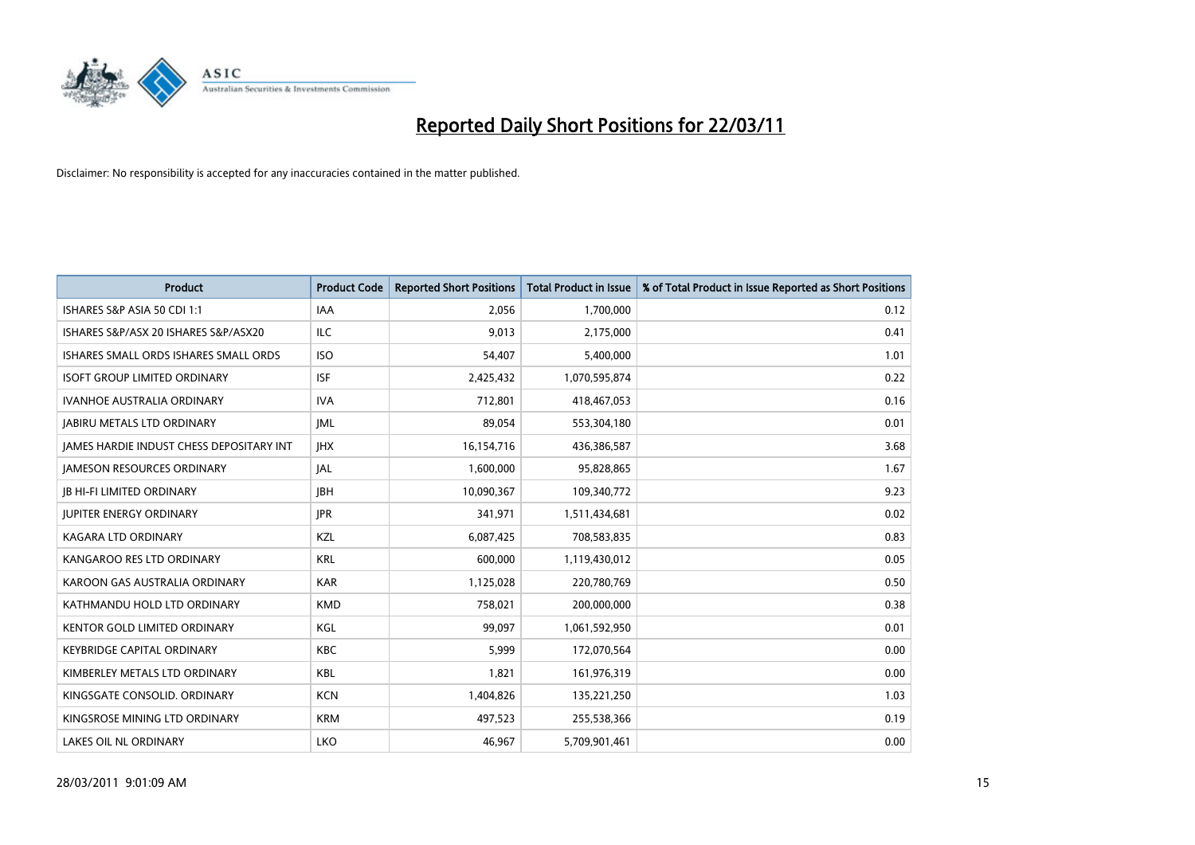

| <b>Product</b>                           | <b>Product Code</b> | <b>Reported Short Positions</b> | Total Product in Issue | % of Total Product in Issue Reported as Short Positions |
|------------------------------------------|---------------------|---------------------------------|------------------------|---------------------------------------------------------|
| ISHARES S&P ASIA 50 CDI 1:1              | <b>IAA</b>          | 2,056                           | 1,700,000              | 0.12                                                    |
| ISHARES S&P/ASX 20 ISHARES S&P/ASX20     | ILC                 | 9,013                           | 2,175,000              | 0.41                                                    |
| ISHARES SMALL ORDS ISHARES SMALL ORDS    | <b>ISO</b>          | 54,407                          | 5,400,000              | 1.01                                                    |
| <b>ISOFT GROUP LIMITED ORDINARY</b>      | <b>ISF</b>          | 2,425,432                       | 1,070,595,874          | 0.22                                                    |
| <b>IVANHOE AUSTRALIA ORDINARY</b>        | <b>IVA</b>          | 712,801                         | 418,467,053            | 0.16                                                    |
| <b>JABIRU METALS LTD ORDINARY</b>        | <b>IML</b>          | 89,054                          | 553,304,180            | 0.01                                                    |
| JAMES HARDIE INDUST CHESS DEPOSITARY INT | <b>IHX</b>          | 16,154,716                      | 436,386,587            | 3.68                                                    |
| <b>JAMESON RESOURCES ORDINARY</b>        | <b>JAL</b>          | 1,600,000                       | 95,828,865             | 1.67                                                    |
| <b>JB HI-FI LIMITED ORDINARY</b>         | <b>IBH</b>          | 10,090,367                      | 109,340,772            | 9.23                                                    |
| <b>JUPITER ENERGY ORDINARY</b>           | <b>IPR</b>          | 341,971                         | 1,511,434,681          | 0.02                                                    |
| <b>KAGARA LTD ORDINARY</b>               | <b>KZL</b>          | 6,087,425                       | 708,583,835            | 0.83                                                    |
| KANGAROO RES LTD ORDINARY                | <b>KRL</b>          | 600.000                         | 1,119,430,012          | 0.05                                                    |
| KAROON GAS AUSTRALIA ORDINARY            | <b>KAR</b>          | 1,125,028                       | 220,780,769            | 0.50                                                    |
| KATHMANDU HOLD LTD ORDINARY              | <b>KMD</b>          | 758,021                         | 200,000,000            | 0.38                                                    |
| KENTOR GOLD LIMITED ORDINARY             | KGL                 | 99,097                          | 1,061,592,950          | 0.01                                                    |
| <b>KEYBRIDGE CAPITAL ORDINARY</b>        | <b>KBC</b>          | 5,999                           | 172,070,564            | 0.00                                                    |
| KIMBERLEY METALS LTD ORDINARY            | <b>KBL</b>          | 1,821                           | 161,976,319            | 0.00                                                    |
| KINGSGATE CONSOLID. ORDINARY             | <b>KCN</b>          | 1,404,826                       | 135,221,250            | 1.03                                                    |
| KINGSROSE MINING LTD ORDINARY            | <b>KRM</b>          | 497,523                         | 255,538,366            | 0.19                                                    |
| <b>LAKES OIL NL ORDINARY</b>             | <b>LKO</b>          | 46.967                          | 5,709,901,461          | 0.00                                                    |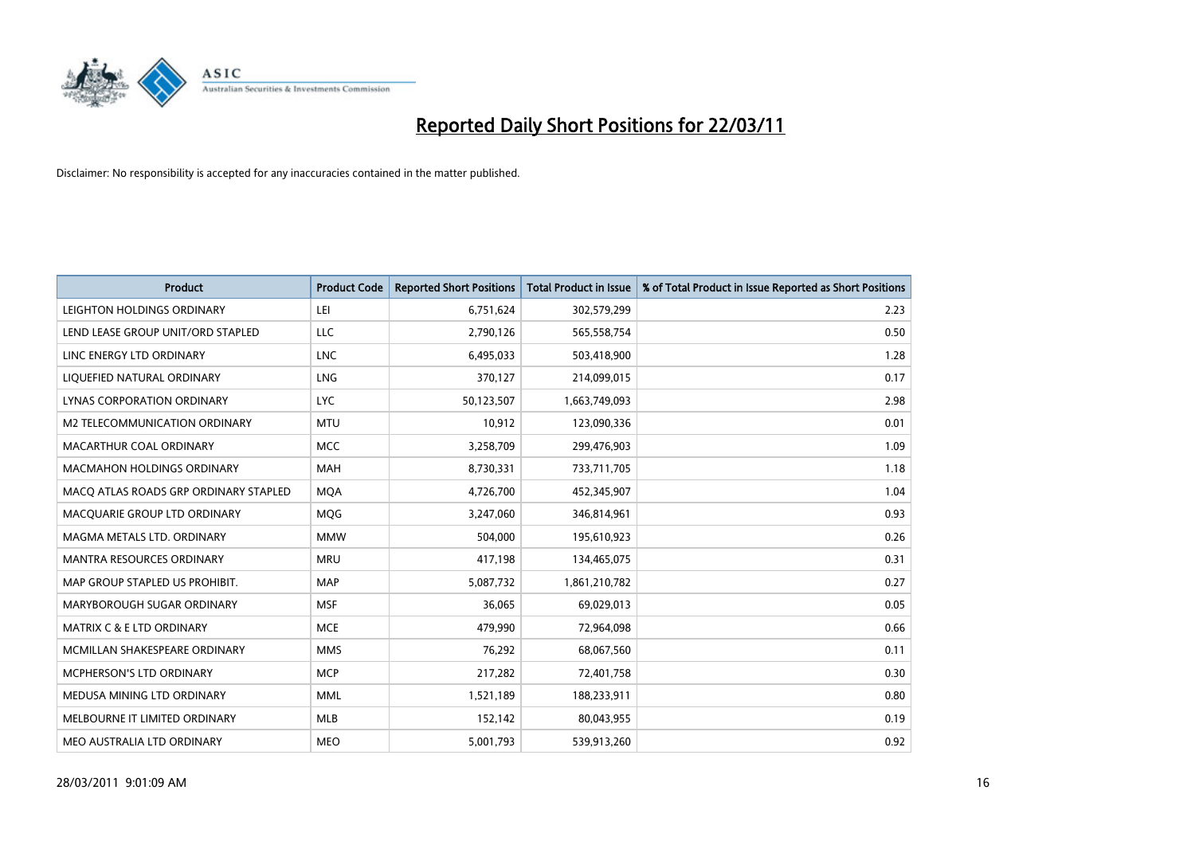

| <b>Product</b>                        | <b>Product Code</b> | <b>Reported Short Positions</b> | <b>Total Product in Issue</b> | % of Total Product in Issue Reported as Short Positions |
|---------------------------------------|---------------------|---------------------------------|-------------------------------|---------------------------------------------------------|
| LEIGHTON HOLDINGS ORDINARY            | LEI                 | 6,751,624                       | 302,579,299                   | 2.23                                                    |
| LEND LEASE GROUP UNIT/ORD STAPLED     | <b>LLC</b>          | 2,790,126                       | 565,558,754                   | 0.50                                                    |
| LINC ENERGY LTD ORDINARY              | <b>LNC</b>          | 6,495,033                       | 503,418,900                   | 1.28                                                    |
| LIQUEFIED NATURAL ORDINARY            | <b>LNG</b>          | 370,127                         | 214,099,015                   | 0.17                                                    |
| LYNAS CORPORATION ORDINARY            | <b>LYC</b>          | 50,123,507                      | 1,663,749,093                 | 2.98                                                    |
| M2 TELECOMMUNICATION ORDINARY         | <b>MTU</b>          | 10,912                          | 123,090,336                   | 0.01                                                    |
| MACARTHUR COAL ORDINARY               | <b>MCC</b>          | 3,258,709                       | 299,476,903                   | 1.09                                                    |
| <b>MACMAHON HOLDINGS ORDINARY</b>     | <b>MAH</b>          | 8,730,331                       | 733,711,705                   | 1.18                                                    |
| MACQ ATLAS ROADS GRP ORDINARY STAPLED | <b>MOA</b>          | 4,726,700                       | 452,345,907                   | 1.04                                                    |
| MACOUARIE GROUP LTD ORDINARY          | MQG                 | 3,247,060                       | 346,814,961                   | 0.93                                                    |
| MAGMA METALS LTD. ORDINARY            | <b>MMW</b>          | 504,000                         | 195,610,923                   | 0.26                                                    |
| <b>MANTRA RESOURCES ORDINARY</b>      | <b>MRU</b>          | 417,198                         | 134,465,075                   | 0.31                                                    |
| MAP GROUP STAPLED US PROHIBIT.        | <b>MAP</b>          | 5,087,732                       | 1,861,210,782                 | 0.27                                                    |
| MARYBOROUGH SUGAR ORDINARY            | <b>MSF</b>          | 36,065                          | 69,029,013                    | 0.05                                                    |
| <b>MATRIX C &amp; E LTD ORDINARY</b>  | <b>MCE</b>          | 479,990                         | 72,964,098                    | 0.66                                                    |
| MCMILLAN SHAKESPEARE ORDINARY         | <b>MMS</b>          | 76,292                          | 68,067,560                    | 0.11                                                    |
| MCPHERSON'S LTD ORDINARY              | <b>MCP</b>          | 217,282                         | 72,401,758                    | 0.30                                                    |
| MEDUSA MINING LTD ORDINARY            | <b>MML</b>          | 1,521,189                       | 188,233,911                   | 0.80                                                    |
| MELBOURNE IT LIMITED ORDINARY         | <b>MLB</b>          | 152,142                         | 80,043,955                    | 0.19                                                    |
| MEO AUSTRALIA LTD ORDINARY            | <b>MEO</b>          | 5,001,793                       | 539,913,260                   | 0.92                                                    |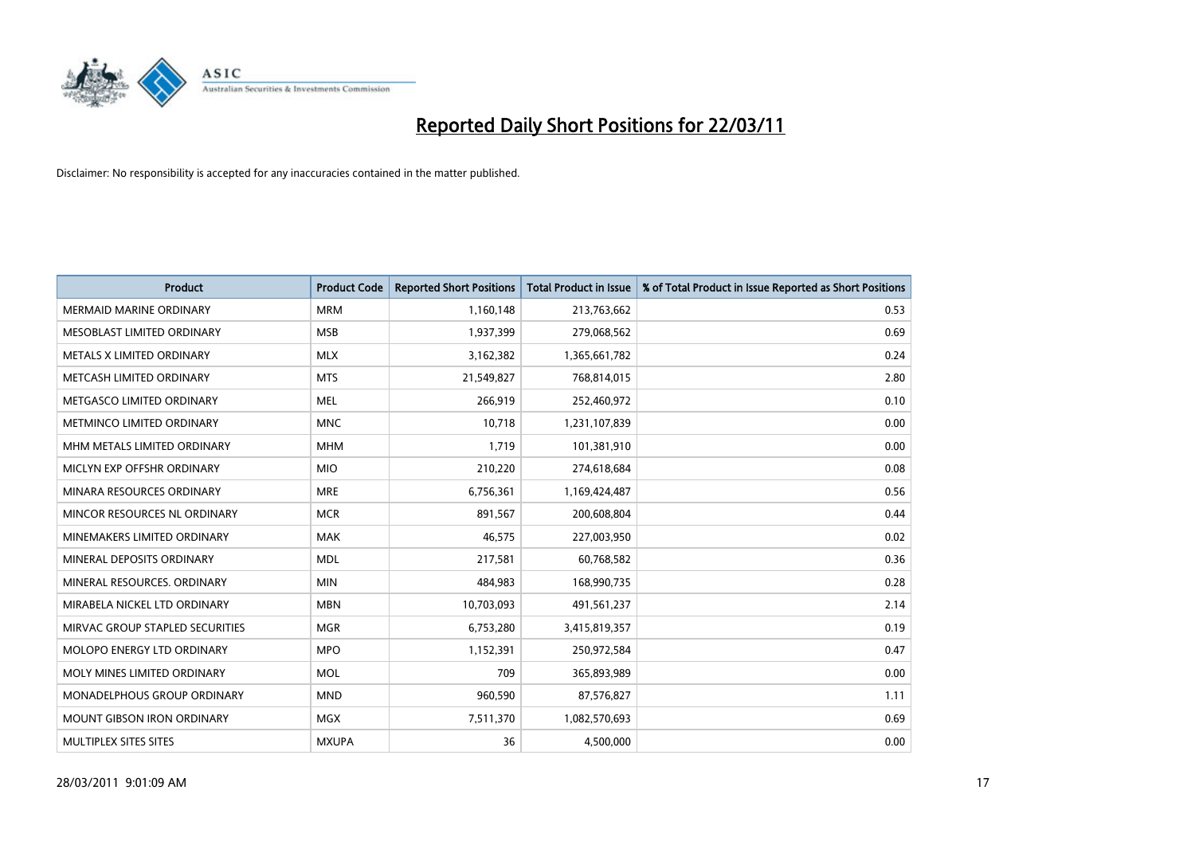

| Product                           | <b>Product Code</b> | <b>Reported Short Positions</b> | <b>Total Product in Issue</b> | % of Total Product in Issue Reported as Short Positions |
|-----------------------------------|---------------------|---------------------------------|-------------------------------|---------------------------------------------------------|
| <b>MERMAID MARINE ORDINARY</b>    | <b>MRM</b>          | 1,160,148                       | 213,763,662                   | 0.53                                                    |
| MESOBLAST LIMITED ORDINARY        | <b>MSB</b>          | 1,937,399                       | 279,068,562                   | 0.69                                                    |
| METALS X LIMITED ORDINARY         | <b>MLX</b>          | 3,162,382                       | 1,365,661,782                 | 0.24                                                    |
| METCASH LIMITED ORDINARY          | <b>MTS</b>          | 21,549,827                      | 768,814,015                   | 2.80                                                    |
| METGASCO LIMITED ORDINARY         | <b>MEL</b>          | 266,919                         | 252,460,972                   | 0.10                                                    |
| METMINCO LIMITED ORDINARY         | <b>MNC</b>          | 10,718                          | 1,231,107,839                 | 0.00                                                    |
| MHM METALS LIMITED ORDINARY       | <b>MHM</b>          | 1,719                           | 101,381,910                   | 0.00                                                    |
| MICLYN EXP OFFSHR ORDINARY        | <b>MIO</b>          | 210,220                         | 274,618,684                   | 0.08                                                    |
| MINARA RESOURCES ORDINARY         | <b>MRE</b>          | 6,756,361                       | 1,169,424,487                 | 0.56                                                    |
| MINCOR RESOURCES NL ORDINARY      | <b>MCR</b>          | 891,567                         | 200,608,804                   | 0.44                                                    |
| MINEMAKERS LIMITED ORDINARY       | <b>MAK</b>          | 46,575                          | 227,003,950                   | 0.02                                                    |
| MINERAL DEPOSITS ORDINARY         | <b>MDL</b>          | 217,581                         | 60,768,582                    | 0.36                                                    |
| MINERAL RESOURCES, ORDINARY       | <b>MIN</b>          | 484,983                         | 168,990,735                   | 0.28                                                    |
| MIRABELA NICKEL LTD ORDINARY      | <b>MBN</b>          | 10,703,093                      | 491,561,237                   | 2.14                                                    |
| MIRVAC GROUP STAPLED SECURITIES   | <b>MGR</b>          | 6,753,280                       | 3,415,819,357                 | 0.19                                                    |
| MOLOPO ENERGY LTD ORDINARY        | <b>MPO</b>          | 1,152,391                       | 250,972,584                   | 0.47                                                    |
| MOLY MINES LIMITED ORDINARY       | <b>MOL</b>          | 709                             | 365,893,989                   | 0.00                                                    |
| MONADELPHOUS GROUP ORDINARY       | <b>MND</b>          | 960,590                         | 87,576,827                    | 1.11                                                    |
| <b>MOUNT GIBSON IRON ORDINARY</b> | <b>MGX</b>          | 7,511,370                       | 1,082,570,693                 | 0.69                                                    |
| MULTIPLEX SITES SITES             | <b>MXUPA</b>        | 36                              | 4,500,000                     | 0.00                                                    |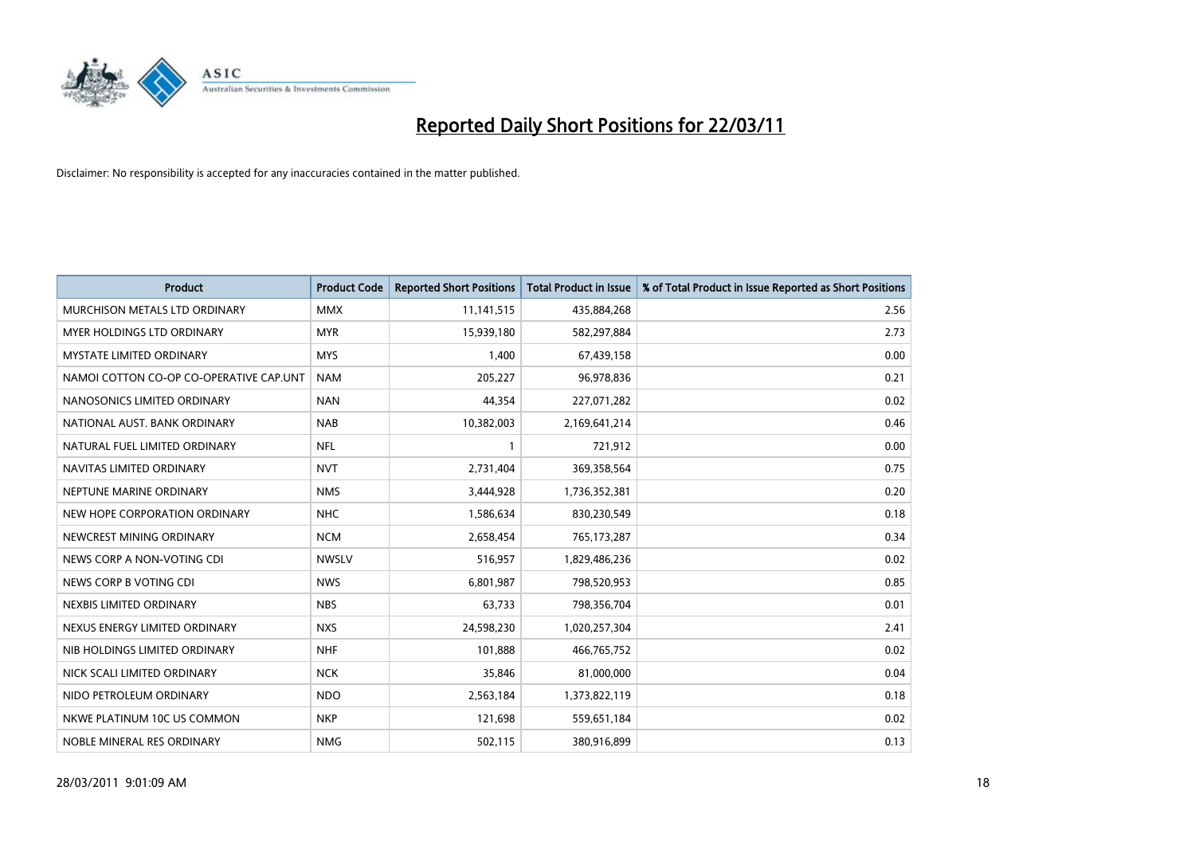

| Product                                 | <b>Product Code</b> | <b>Reported Short Positions</b> | <b>Total Product in Issue</b> | % of Total Product in Issue Reported as Short Positions |
|-----------------------------------------|---------------------|---------------------------------|-------------------------------|---------------------------------------------------------|
| MURCHISON METALS LTD ORDINARY           | <b>MMX</b>          | 11,141,515                      | 435,884,268                   | 2.56                                                    |
| MYER HOLDINGS LTD ORDINARY              | <b>MYR</b>          | 15,939,180                      | 582,297,884                   | 2.73                                                    |
| <b>MYSTATE LIMITED ORDINARY</b>         | <b>MYS</b>          | 1,400                           | 67,439,158                    | 0.00                                                    |
| NAMOI COTTON CO-OP CO-OPERATIVE CAP.UNT | <b>NAM</b>          | 205,227                         | 96,978,836                    | 0.21                                                    |
| NANOSONICS LIMITED ORDINARY             | <b>NAN</b>          | 44,354                          | 227,071,282                   | 0.02                                                    |
| NATIONAL AUST, BANK ORDINARY            | <b>NAB</b>          | 10,382,003                      | 2,169,641,214                 | 0.46                                                    |
| NATURAL FUEL LIMITED ORDINARY           | <b>NFL</b>          |                                 | 721,912                       | 0.00                                                    |
| NAVITAS LIMITED ORDINARY                | <b>NVT</b>          | 2,731,404                       | 369,358,564                   | 0.75                                                    |
| NEPTUNE MARINE ORDINARY                 | <b>NMS</b>          | 3,444,928                       | 1,736,352,381                 | 0.20                                                    |
| NEW HOPE CORPORATION ORDINARY           | <b>NHC</b>          | 1,586,634                       | 830,230,549                   | 0.18                                                    |
| NEWCREST MINING ORDINARY                | <b>NCM</b>          | 2,658,454                       | 765,173,287                   | 0.34                                                    |
| NEWS CORP A NON-VOTING CDI              | <b>NWSLV</b>        | 516,957                         | 1,829,486,236                 | 0.02                                                    |
| NEWS CORP B VOTING CDI                  | <b>NWS</b>          | 6,801,987                       | 798,520,953                   | 0.85                                                    |
| NEXBIS LIMITED ORDINARY                 | <b>NBS</b>          | 63,733                          | 798,356,704                   | 0.01                                                    |
| NEXUS ENERGY LIMITED ORDINARY           | <b>NXS</b>          | 24,598,230                      | 1,020,257,304                 | 2.41                                                    |
| NIB HOLDINGS LIMITED ORDINARY           | <b>NHF</b>          | 101,888                         | 466,765,752                   | 0.02                                                    |
| NICK SCALI LIMITED ORDINARY             | <b>NCK</b>          | 35,846                          | 81,000,000                    | 0.04                                                    |
| NIDO PETROLEUM ORDINARY                 | <b>NDO</b>          | 2,563,184                       | 1,373,822,119                 | 0.18                                                    |
| NKWE PLATINUM 10C US COMMON             | <b>NKP</b>          | 121,698                         | 559,651,184                   | 0.02                                                    |
| NOBLE MINERAL RES ORDINARY              | <b>NMG</b>          | 502,115                         | 380,916,899                   | 0.13                                                    |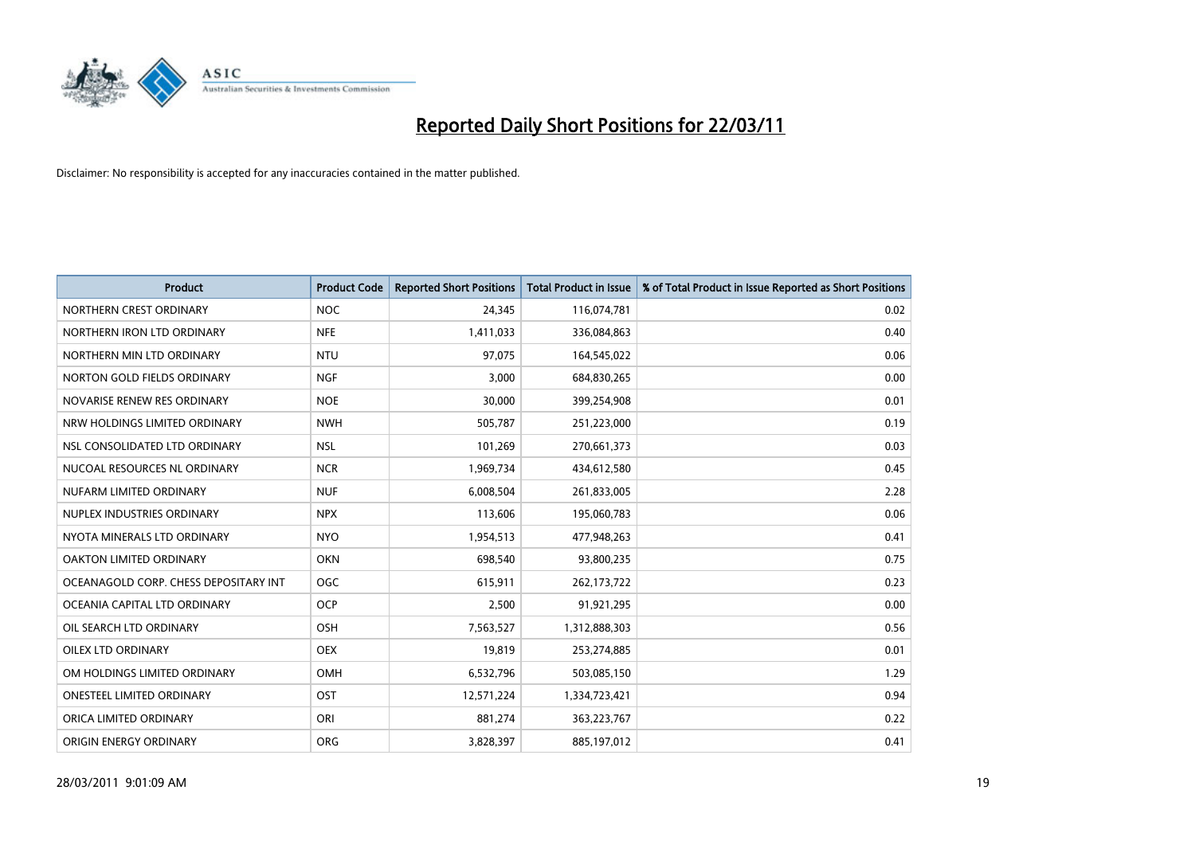

| <b>Product</b>                        | <b>Product Code</b> | <b>Reported Short Positions</b> | <b>Total Product in Issue</b> | % of Total Product in Issue Reported as Short Positions |
|---------------------------------------|---------------------|---------------------------------|-------------------------------|---------------------------------------------------------|
| NORTHERN CREST ORDINARY               | <b>NOC</b>          | 24,345                          | 116,074,781                   | 0.02                                                    |
| NORTHERN IRON LTD ORDINARY            | <b>NFE</b>          | 1,411,033                       | 336,084,863                   | 0.40                                                    |
| NORTHERN MIN LTD ORDINARY             | <b>NTU</b>          | 97,075                          | 164,545,022                   | 0.06                                                    |
| NORTON GOLD FIELDS ORDINARY           | <b>NGF</b>          | 3,000                           | 684,830,265                   | 0.00                                                    |
| NOVARISE RENEW RES ORDINARY           | <b>NOE</b>          | 30,000                          | 399,254,908                   | 0.01                                                    |
| NRW HOLDINGS LIMITED ORDINARY         | <b>NWH</b>          | 505,787                         | 251,223,000                   | 0.19                                                    |
| NSL CONSOLIDATED LTD ORDINARY         | <b>NSL</b>          | 101,269                         | 270,661,373                   | 0.03                                                    |
| NUCOAL RESOURCES NL ORDINARY          | <b>NCR</b>          | 1,969,734                       | 434,612,580                   | 0.45                                                    |
| NUFARM LIMITED ORDINARY               | <b>NUF</b>          | 6,008,504                       | 261,833,005                   | 2.28                                                    |
| NUPLEX INDUSTRIES ORDINARY            | <b>NPX</b>          | 113,606                         | 195,060,783                   | 0.06                                                    |
| NYOTA MINERALS LTD ORDINARY           | <b>NYO</b>          | 1,954,513                       | 477,948,263                   | 0.41                                                    |
| OAKTON LIMITED ORDINARY               | <b>OKN</b>          | 698,540                         | 93,800,235                    | 0.75                                                    |
| OCEANAGOLD CORP. CHESS DEPOSITARY INT | <b>OGC</b>          | 615,911                         | 262,173,722                   | 0.23                                                    |
| OCEANIA CAPITAL LTD ORDINARY          | <b>OCP</b>          | 2,500                           | 91,921,295                    | 0.00                                                    |
| OIL SEARCH LTD ORDINARY               | <b>OSH</b>          | 7,563,527                       | 1,312,888,303                 | 0.56                                                    |
| OILEX LTD ORDINARY                    | <b>OEX</b>          | 19,819                          | 253,274,885                   | 0.01                                                    |
| OM HOLDINGS LIMITED ORDINARY          | OMH                 | 6,532,796                       | 503,085,150                   | 1.29                                                    |
| ONESTEEL LIMITED ORDINARY             | <b>OST</b>          | 12,571,224                      | 1,334,723,421                 | 0.94                                                    |
| ORICA LIMITED ORDINARY                | ORI                 | 881,274                         | 363,223,767                   | 0.22                                                    |
| ORIGIN ENERGY ORDINARY                | <b>ORG</b>          | 3,828,397                       | 885,197,012                   | 0.41                                                    |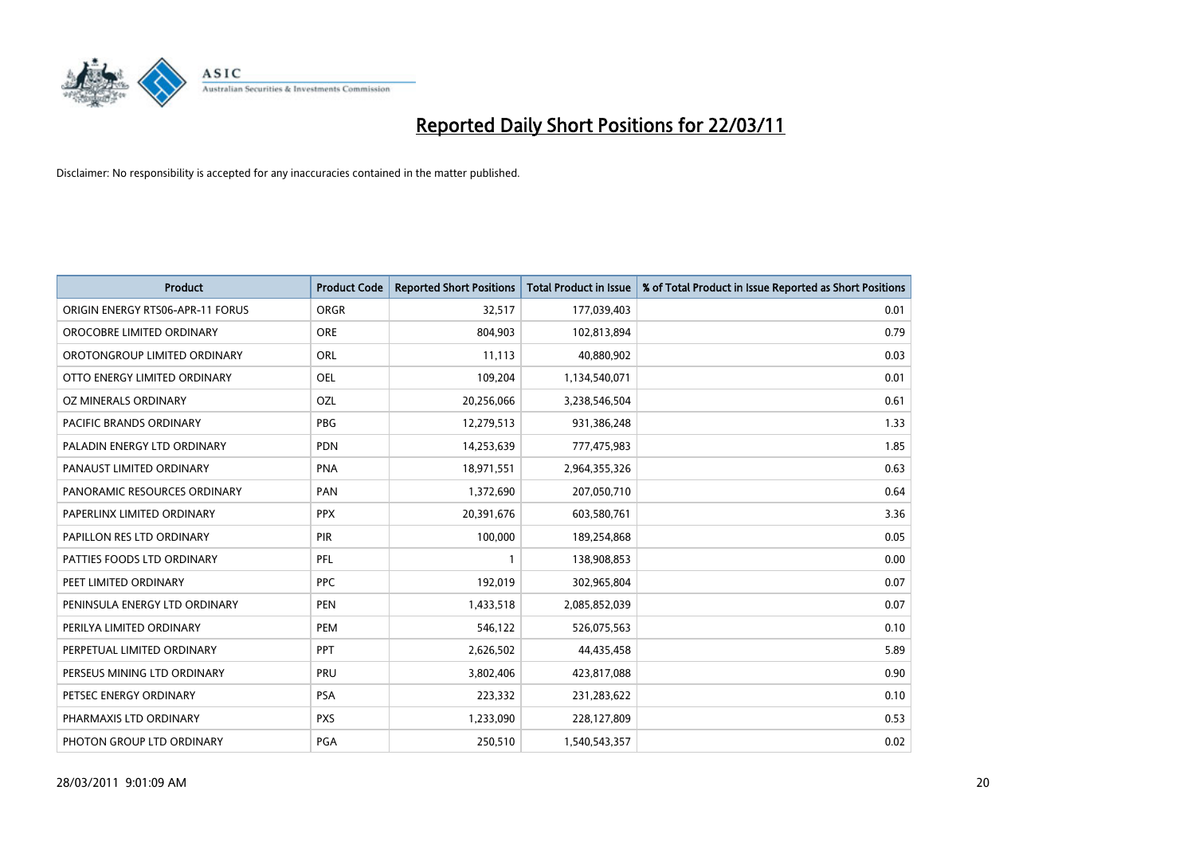

| Product                          | <b>Product Code</b> | <b>Reported Short Positions</b> | <b>Total Product in Issue</b> | % of Total Product in Issue Reported as Short Positions |
|----------------------------------|---------------------|---------------------------------|-------------------------------|---------------------------------------------------------|
| ORIGIN ENERGY RTS06-APR-11 FORUS | <b>ORGR</b>         | 32,517                          | 177,039,403                   | 0.01                                                    |
| OROCOBRE LIMITED ORDINARY        | <b>ORE</b>          | 804,903                         | 102,813,894                   | 0.79                                                    |
| OROTONGROUP LIMITED ORDINARY     | <b>ORL</b>          | 11,113                          | 40,880,902                    | 0.03                                                    |
| OTTO ENERGY LIMITED ORDINARY     | OEL                 | 109,204                         | 1,134,540,071                 | 0.01                                                    |
| OZ MINERALS ORDINARY             | OZL                 | 20,256,066                      | 3,238,546,504                 | 0.61                                                    |
| <b>PACIFIC BRANDS ORDINARY</b>   | <b>PBG</b>          | 12,279,513                      | 931,386,248                   | 1.33                                                    |
| PALADIN ENERGY LTD ORDINARY      | <b>PDN</b>          | 14,253,639                      | 777,475,983                   | 1.85                                                    |
| PANAUST LIMITED ORDINARY         | <b>PNA</b>          | 18,971,551                      | 2,964,355,326                 | 0.63                                                    |
| PANORAMIC RESOURCES ORDINARY     | PAN                 | 1,372,690                       | 207,050,710                   | 0.64                                                    |
| PAPERLINX LIMITED ORDINARY       | <b>PPX</b>          | 20,391,676                      | 603,580,761                   | 3.36                                                    |
| PAPILLON RES LTD ORDINARY        | PIR                 | 100,000                         | 189,254,868                   | 0.05                                                    |
| PATTIES FOODS LTD ORDINARY       | PFL                 |                                 | 138,908,853                   | 0.00                                                    |
| PEET LIMITED ORDINARY            | <b>PPC</b>          | 192,019                         | 302,965,804                   | 0.07                                                    |
| PENINSULA ENERGY LTD ORDINARY    | <b>PEN</b>          | 1,433,518                       | 2,085,852,039                 | 0.07                                                    |
| PERILYA LIMITED ORDINARY         | PEM                 | 546,122                         | 526,075,563                   | 0.10                                                    |
| PERPETUAL LIMITED ORDINARY       | PPT                 | 2,626,502                       | 44,435,458                    | 5.89                                                    |
| PERSEUS MINING LTD ORDINARY      | PRU                 | 3,802,406                       | 423,817,088                   | 0.90                                                    |
| PETSEC ENERGY ORDINARY           | PSA                 | 223,332                         | 231,283,622                   | 0.10                                                    |
| PHARMAXIS LTD ORDINARY           | <b>PXS</b>          | 1,233,090                       | 228,127,809                   | 0.53                                                    |
| PHOTON GROUP LTD ORDINARY        | PGA                 | 250,510                         | 1,540,543,357                 | 0.02                                                    |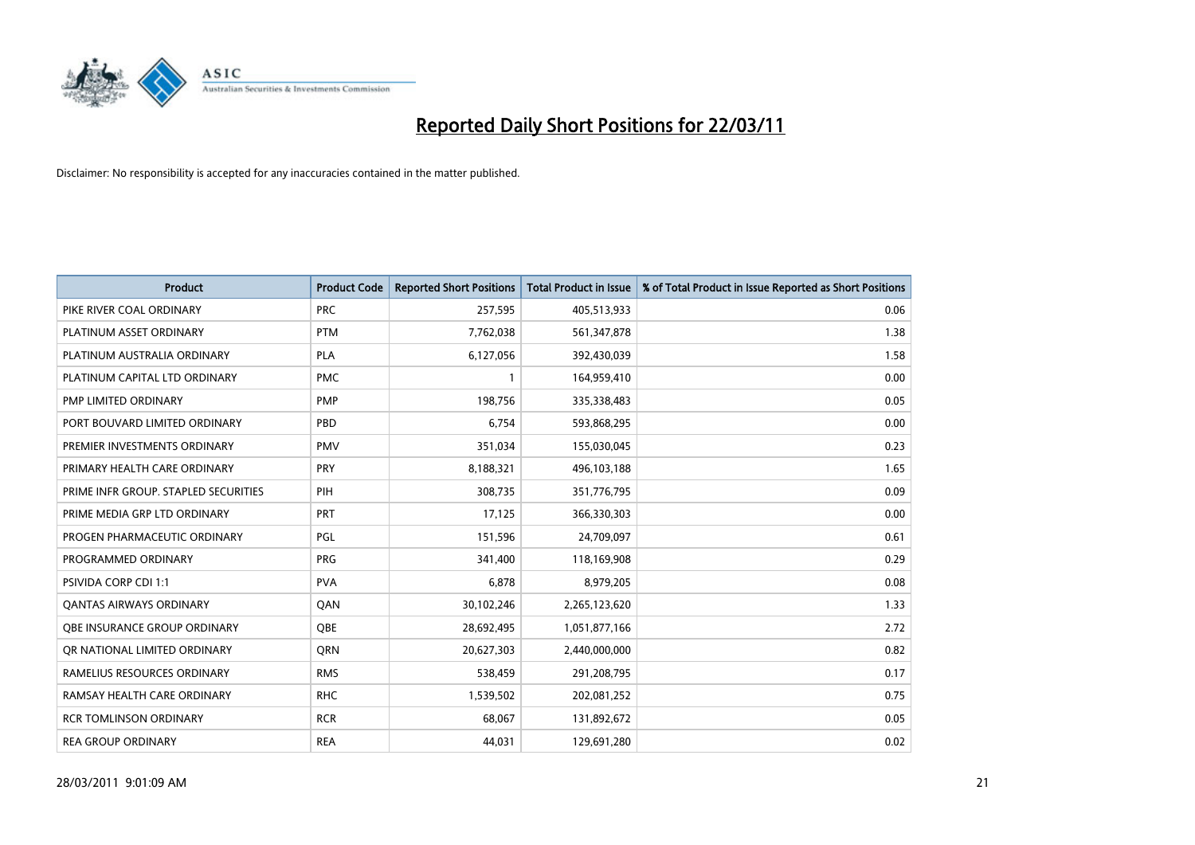

| Product                              | <b>Product Code</b> | <b>Reported Short Positions</b> | <b>Total Product in Issue</b> | % of Total Product in Issue Reported as Short Positions |
|--------------------------------------|---------------------|---------------------------------|-------------------------------|---------------------------------------------------------|
| PIKE RIVER COAL ORDINARY             | <b>PRC</b>          | 257,595                         | 405,513,933                   | 0.06                                                    |
| PLATINUM ASSET ORDINARY              | <b>PTM</b>          | 7,762,038                       | 561,347,878                   | 1.38                                                    |
| PLATINUM AUSTRALIA ORDINARY          | <b>PLA</b>          | 6,127,056                       | 392,430,039                   | 1.58                                                    |
| PLATINUM CAPITAL LTD ORDINARY        | <b>PMC</b>          |                                 | 164,959,410                   | 0.00                                                    |
| PMP LIMITED ORDINARY                 | <b>PMP</b>          | 198,756                         | 335,338,483                   | 0.05                                                    |
| PORT BOUVARD LIMITED ORDINARY        | PBD                 | 6,754                           | 593,868,295                   | 0.00                                                    |
| PREMIER INVESTMENTS ORDINARY         | <b>PMV</b>          | 351,034                         | 155,030,045                   | 0.23                                                    |
| PRIMARY HEALTH CARE ORDINARY         | <b>PRY</b>          | 8,188,321                       | 496,103,188                   | 1.65                                                    |
| PRIME INFR GROUP. STAPLED SECURITIES | PIH                 | 308,735                         | 351,776,795                   | 0.09                                                    |
| PRIME MEDIA GRP LTD ORDINARY         | PRT                 | 17,125                          | 366,330,303                   | 0.00                                                    |
| PROGEN PHARMACEUTIC ORDINARY         | PGL                 | 151,596                         | 24,709,097                    | 0.61                                                    |
| PROGRAMMED ORDINARY                  | <b>PRG</b>          | 341,400                         | 118,169,908                   | 0.29                                                    |
| <b>PSIVIDA CORP CDI 1:1</b>          | <b>PVA</b>          | 6,878                           | 8,979,205                     | 0.08                                                    |
| <b>QANTAS AIRWAYS ORDINARY</b>       | QAN                 | 30,102,246                      | 2,265,123,620                 | 1.33                                                    |
| OBE INSURANCE GROUP ORDINARY         | <b>OBE</b>          | 28,692,495                      | 1,051,877,166                 | 2.72                                                    |
| OR NATIONAL LIMITED ORDINARY         | <b>ORN</b>          | 20,627,303                      | 2,440,000,000                 | 0.82                                                    |
| RAMELIUS RESOURCES ORDINARY          | <b>RMS</b>          | 538,459                         | 291,208,795                   | 0.17                                                    |
| RAMSAY HEALTH CARE ORDINARY          | <b>RHC</b>          | 1,539,502                       | 202,081,252                   | 0.75                                                    |
| <b>RCR TOMLINSON ORDINARY</b>        | <b>RCR</b>          | 68,067                          | 131,892,672                   | 0.05                                                    |
| <b>REA GROUP ORDINARY</b>            | <b>REA</b>          | 44,031                          | 129,691,280                   | 0.02                                                    |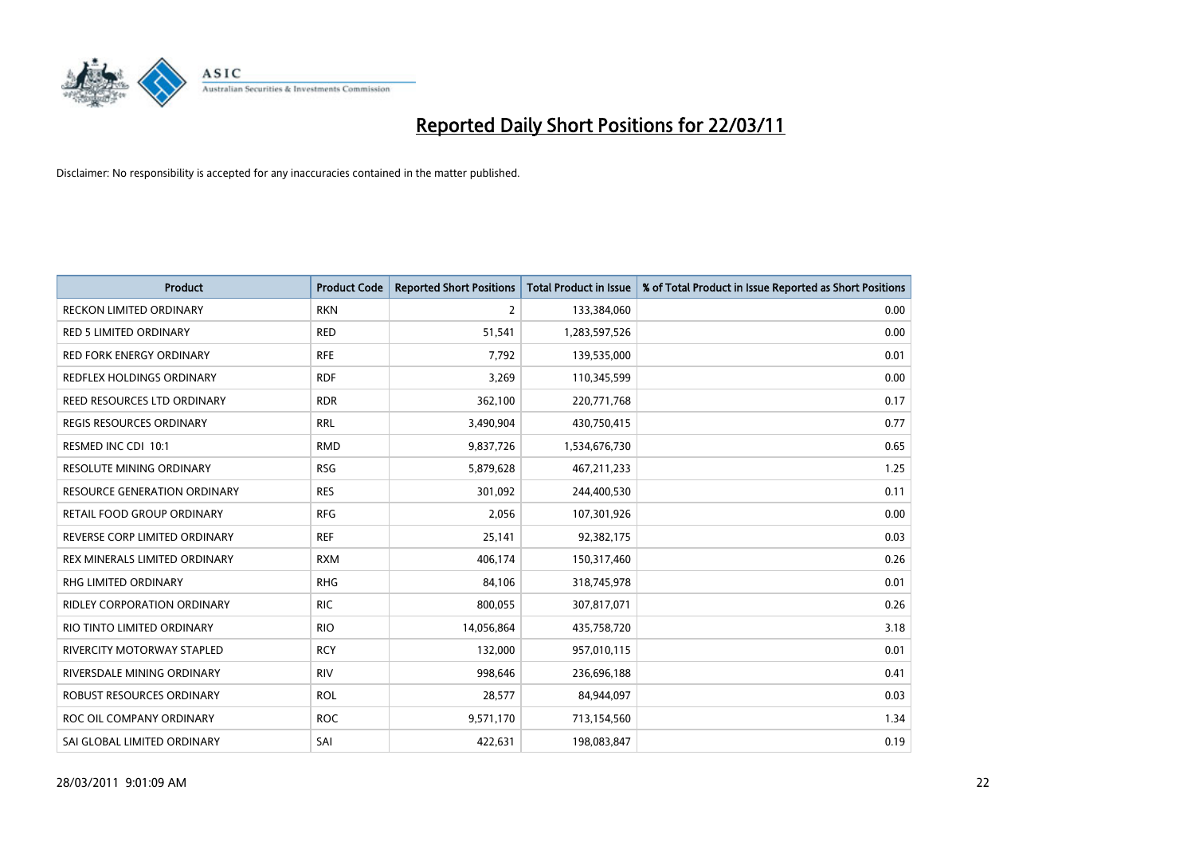

| <b>Product</b>                      | <b>Product Code</b> | <b>Reported Short Positions</b> | <b>Total Product in Issue</b> | % of Total Product in Issue Reported as Short Positions |
|-------------------------------------|---------------------|---------------------------------|-------------------------------|---------------------------------------------------------|
| <b>RECKON LIMITED ORDINARY</b>      | <b>RKN</b>          | 2                               | 133,384,060                   | 0.00                                                    |
| <b>RED 5 LIMITED ORDINARY</b>       | <b>RED</b>          | 51,541                          | 1,283,597,526                 | 0.00                                                    |
| <b>RED FORK ENERGY ORDINARY</b>     | <b>RFE</b>          | 7,792                           | 139,535,000                   | 0.01                                                    |
| REDFLEX HOLDINGS ORDINARY           | <b>RDF</b>          | 3,269                           | 110,345,599                   | 0.00                                                    |
| REED RESOURCES LTD ORDINARY         | <b>RDR</b>          | 362,100                         | 220,771,768                   | 0.17                                                    |
| <b>REGIS RESOURCES ORDINARY</b>     | <b>RRL</b>          | 3,490,904                       | 430,750,415                   | 0.77                                                    |
| RESMED INC CDI 10:1                 | <b>RMD</b>          | 9,837,726                       | 1,534,676,730                 | 0.65                                                    |
| <b>RESOLUTE MINING ORDINARY</b>     | <b>RSG</b>          | 5,879,628                       | 467,211,233                   | 1.25                                                    |
| <b>RESOURCE GENERATION ORDINARY</b> | <b>RES</b>          | 301,092                         | 244,400,530                   | 0.11                                                    |
| <b>RETAIL FOOD GROUP ORDINARY</b>   | <b>RFG</b>          | 2,056                           | 107,301,926                   | 0.00                                                    |
| REVERSE CORP LIMITED ORDINARY       | <b>REF</b>          | 25,141                          | 92,382,175                    | 0.03                                                    |
| REX MINERALS LIMITED ORDINARY       | <b>RXM</b>          | 406,174                         | 150,317,460                   | 0.26                                                    |
| RHG LIMITED ORDINARY                | <b>RHG</b>          | 84,106                          | 318,745,978                   | 0.01                                                    |
| <b>RIDLEY CORPORATION ORDINARY</b>  | <b>RIC</b>          | 800,055                         | 307,817,071                   | 0.26                                                    |
| RIO TINTO LIMITED ORDINARY          | <b>RIO</b>          | 14,056,864                      | 435,758,720                   | 3.18                                                    |
| <b>RIVERCITY MOTORWAY STAPLED</b>   | <b>RCY</b>          | 132,000                         | 957,010,115                   | 0.01                                                    |
| RIVERSDALE MINING ORDINARY          | <b>RIV</b>          | 998,646                         | 236,696,188                   | 0.41                                                    |
| ROBUST RESOURCES ORDINARY           | <b>ROL</b>          | 28,577                          | 84,944,097                    | 0.03                                                    |
| ROC OIL COMPANY ORDINARY            | <b>ROC</b>          | 9,571,170                       | 713,154,560                   | 1.34                                                    |
| SAI GLOBAL LIMITED ORDINARY         | SAI                 | 422,631                         | 198,083,847                   | 0.19                                                    |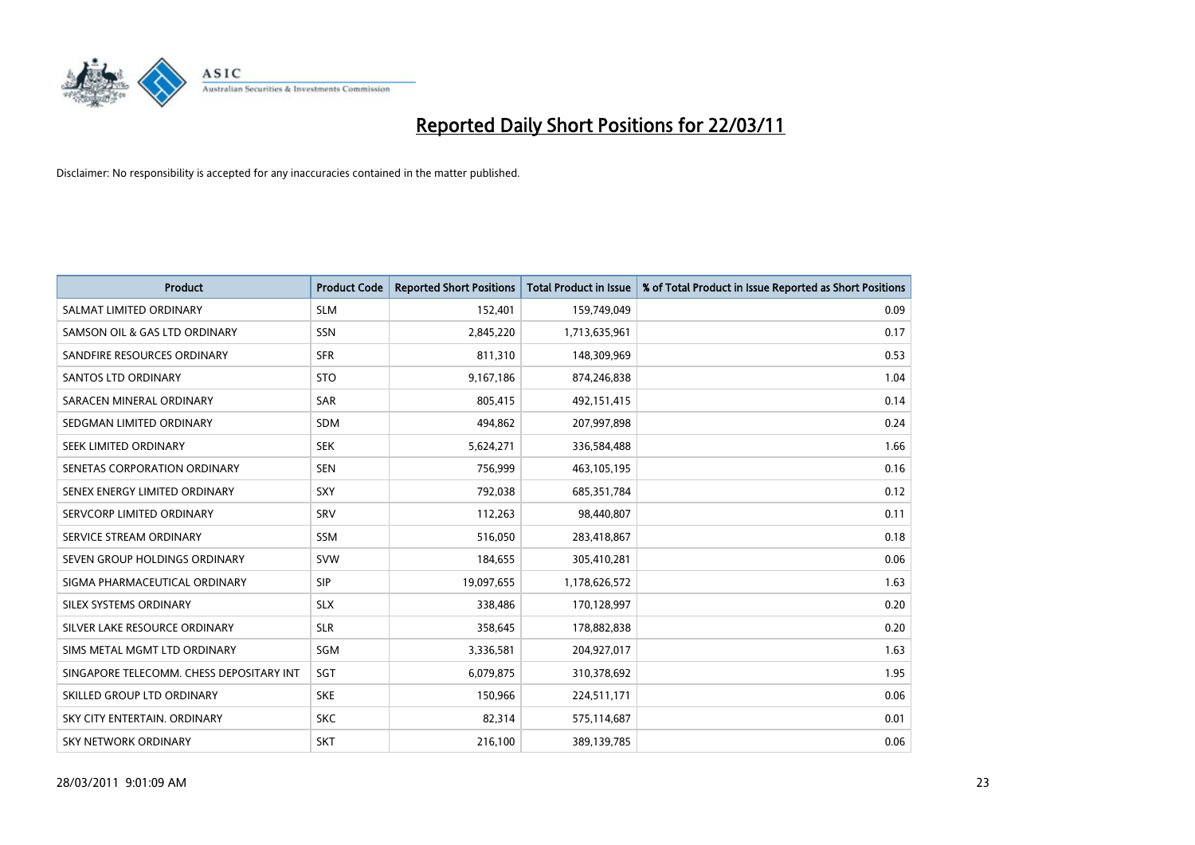

| <b>Product</b>                           | <b>Product Code</b> | <b>Reported Short Positions</b> | <b>Total Product in Issue</b> | % of Total Product in Issue Reported as Short Positions |
|------------------------------------------|---------------------|---------------------------------|-------------------------------|---------------------------------------------------------|
| SALMAT LIMITED ORDINARY                  | <b>SLM</b>          | 152,401                         | 159,749,049                   | 0.09                                                    |
| SAMSON OIL & GAS LTD ORDINARY            | <b>SSN</b>          | 2,845,220                       | 1,713,635,961                 | 0.17                                                    |
| SANDFIRE RESOURCES ORDINARY              | <b>SFR</b>          | 811,310                         | 148,309,969                   | 0.53                                                    |
| <b>SANTOS LTD ORDINARY</b>               | <b>STO</b>          | 9,167,186                       | 874,246,838                   | 1.04                                                    |
| SARACEN MINERAL ORDINARY                 | <b>SAR</b>          | 805,415                         | 492,151,415                   | 0.14                                                    |
| SEDGMAN LIMITED ORDINARY                 | <b>SDM</b>          | 494,862                         | 207,997,898                   | 0.24                                                    |
| SEEK LIMITED ORDINARY                    | <b>SEK</b>          | 5,624,271                       | 336,584,488                   | 1.66                                                    |
| SENETAS CORPORATION ORDINARY             | <b>SEN</b>          | 756,999                         | 463,105,195                   | 0.16                                                    |
| SENEX ENERGY LIMITED ORDINARY            | SXY                 | 792,038                         | 685, 351, 784                 | 0.12                                                    |
| SERVCORP LIMITED ORDINARY                | SRV                 | 112,263                         | 98,440,807                    | 0.11                                                    |
| SERVICE STREAM ORDINARY                  | <b>SSM</b>          | 516,050                         | 283,418,867                   | 0.18                                                    |
| SEVEN GROUP HOLDINGS ORDINARY            | <b>SVW</b>          | 184,655                         | 305,410,281                   | 0.06                                                    |
| SIGMA PHARMACEUTICAL ORDINARY            | <b>SIP</b>          | 19,097,655                      | 1,178,626,572                 | 1.63                                                    |
| SILEX SYSTEMS ORDINARY                   | <b>SLX</b>          | 338,486                         | 170,128,997                   | 0.20                                                    |
| SILVER LAKE RESOURCE ORDINARY            | <b>SLR</b>          | 358,645                         | 178,882,838                   | 0.20                                                    |
| SIMS METAL MGMT LTD ORDINARY             | <b>SGM</b>          | 3,336,581                       | 204,927,017                   | 1.63                                                    |
| SINGAPORE TELECOMM. CHESS DEPOSITARY INT | SGT                 | 6,079,875                       | 310,378,692                   | 1.95                                                    |
| SKILLED GROUP LTD ORDINARY               | <b>SKE</b>          | 150,966                         | 224,511,171                   | 0.06                                                    |
| SKY CITY ENTERTAIN, ORDINARY             | <b>SKC</b>          | 82,314                          | 575,114,687                   | 0.01                                                    |
| SKY NETWORK ORDINARY                     | <b>SKT</b>          | 216,100                         | 389,139,785                   | 0.06                                                    |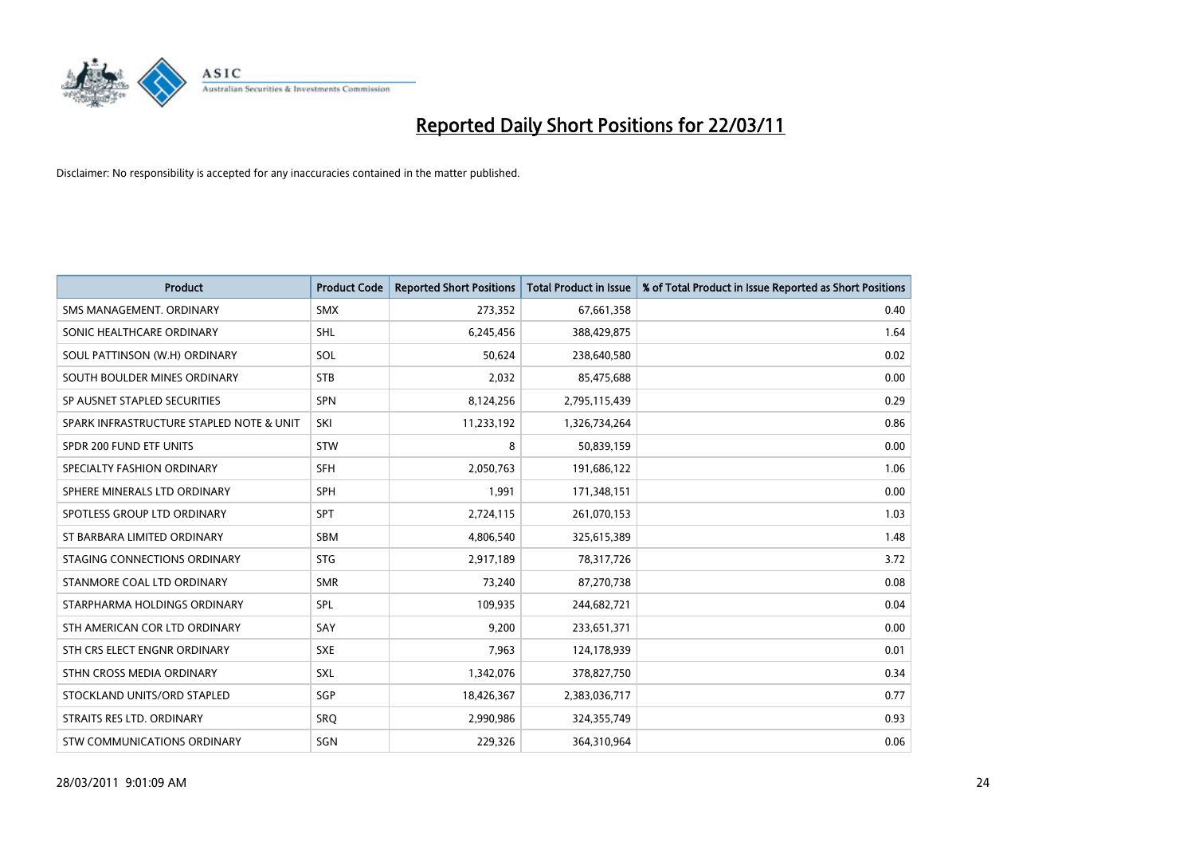

| <b>Product</b>                           | <b>Product Code</b> | <b>Reported Short Positions</b> | <b>Total Product in Issue</b> | % of Total Product in Issue Reported as Short Positions |
|------------------------------------------|---------------------|---------------------------------|-------------------------------|---------------------------------------------------------|
| SMS MANAGEMENT, ORDINARY                 | <b>SMX</b>          | 273,352                         | 67,661,358                    | 0.40                                                    |
| SONIC HEALTHCARE ORDINARY                | <b>SHL</b>          | 6,245,456                       | 388,429,875                   | 1.64                                                    |
| SOUL PATTINSON (W.H) ORDINARY            | SOL                 | 50,624                          | 238,640,580                   | 0.02                                                    |
| SOUTH BOULDER MINES ORDINARY             | <b>STB</b>          | 2,032                           | 85,475,688                    | 0.00                                                    |
| SP AUSNET STAPLED SECURITIES             | <b>SPN</b>          | 8,124,256                       | 2,795,115,439                 | 0.29                                                    |
| SPARK INFRASTRUCTURE STAPLED NOTE & UNIT | SKI                 | 11,233,192                      | 1,326,734,264                 | 0.86                                                    |
| SPDR 200 FUND ETF UNITS                  | <b>STW</b>          | 8                               | 50,839,159                    | 0.00                                                    |
| SPECIALTY FASHION ORDINARY               | <b>SFH</b>          | 2,050,763                       | 191,686,122                   | 1.06                                                    |
| SPHERE MINERALS LTD ORDINARY             | SPH                 | 1,991                           | 171,348,151                   | 0.00                                                    |
| SPOTLESS GROUP LTD ORDINARY              | <b>SPT</b>          | 2,724,115                       | 261,070,153                   | 1.03                                                    |
| ST BARBARA LIMITED ORDINARY              | <b>SBM</b>          | 4,806,540                       | 325,615,389                   | 1.48                                                    |
| STAGING CONNECTIONS ORDINARY             | <b>STG</b>          | 2,917,189                       | 78,317,726                    | 3.72                                                    |
| STANMORE COAL LTD ORDINARY               | <b>SMR</b>          | 73,240                          | 87,270,738                    | 0.08                                                    |
| STARPHARMA HOLDINGS ORDINARY             | SPL                 | 109,935                         | 244,682,721                   | 0.04                                                    |
| STH AMERICAN COR LTD ORDINARY            | SAY                 | 9,200                           | 233,651,371                   | 0.00                                                    |
| STH CRS ELECT ENGNR ORDINARY             | <b>SXE</b>          | 7.963                           | 124,178,939                   | 0.01                                                    |
| STHN CROSS MEDIA ORDINARY                | SXL                 | 1,342,076                       | 378,827,750                   | 0.34                                                    |
| STOCKLAND UNITS/ORD STAPLED              | SGP                 | 18,426,367                      | 2,383,036,717                 | 0.77                                                    |
| STRAITS RES LTD. ORDINARY                | SRO                 | 2,990,986                       | 324,355,749                   | 0.93                                                    |
| STW COMMUNICATIONS ORDINARY              | SGN                 | 229,326                         | 364,310,964                   | 0.06                                                    |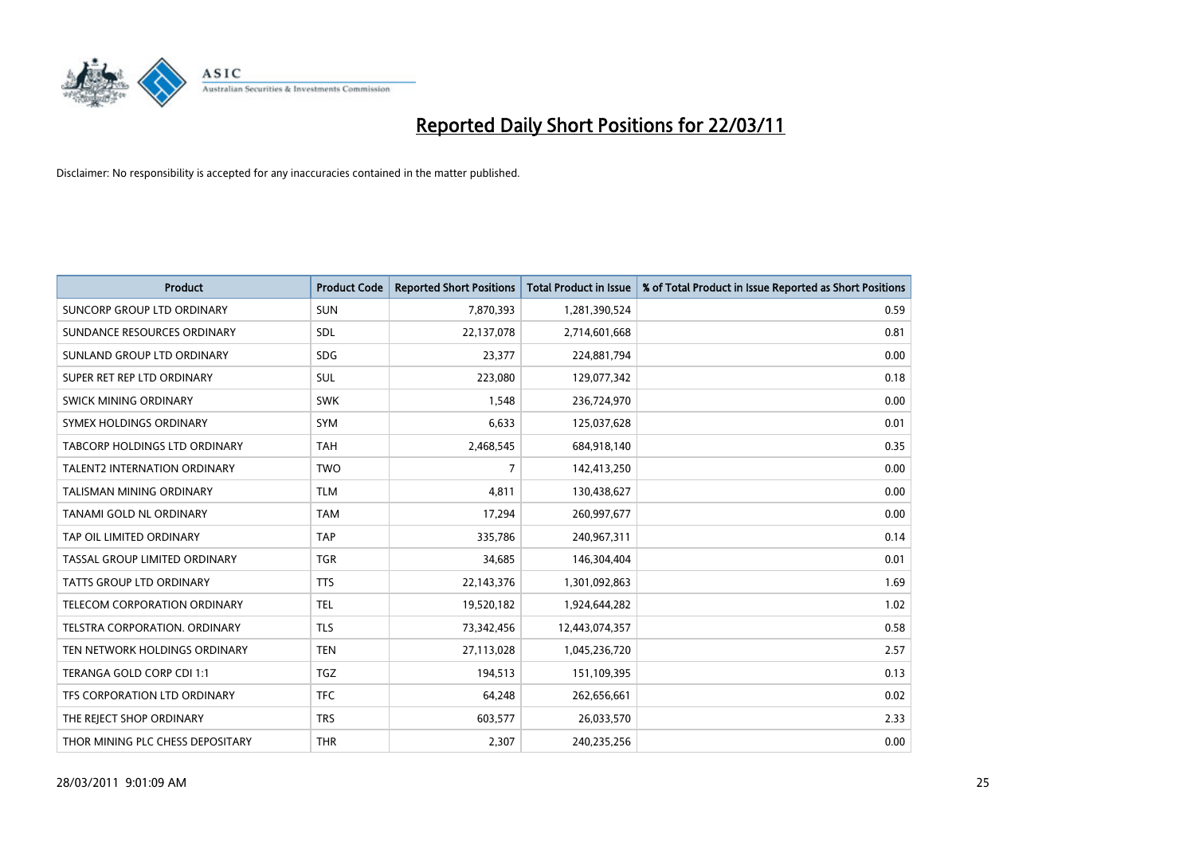

| Product                              | <b>Product Code</b> | <b>Reported Short Positions</b> | <b>Total Product in Issue</b> | % of Total Product in Issue Reported as Short Positions |
|--------------------------------------|---------------------|---------------------------------|-------------------------------|---------------------------------------------------------|
| SUNCORP GROUP LTD ORDINARY           | <b>SUN</b>          | 7,870,393                       | 1,281,390,524                 | 0.59                                                    |
| SUNDANCE RESOURCES ORDINARY          | SDL                 | 22,137,078                      | 2,714,601,668                 | 0.81                                                    |
| SUNLAND GROUP LTD ORDINARY           | <b>SDG</b>          | 23,377                          | 224,881,794                   | 0.00                                                    |
| SUPER RET REP LTD ORDINARY           | SUL                 | 223,080                         | 129,077,342                   | 0.18                                                    |
| SWICK MINING ORDINARY                | <b>SWK</b>          | 1,548                           | 236,724,970                   | 0.00                                                    |
| SYMEX HOLDINGS ORDINARY              | <b>SYM</b>          | 6,633                           | 125,037,628                   | 0.01                                                    |
| <b>TABCORP HOLDINGS LTD ORDINARY</b> | <b>TAH</b>          | 2,468,545                       | 684,918,140                   | 0.35                                                    |
| <b>TALENT2 INTERNATION ORDINARY</b>  | <b>TWO</b>          | 7                               | 142,413,250                   | 0.00                                                    |
| TALISMAN MINING ORDINARY             | <b>TLM</b>          | 4,811                           | 130,438,627                   | 0.00                                                    |
| TANAMI GOLD NL ORDINARY              | <b>TAM</b>          | 17,294                          | 260,997,677                   | 0.00                                                    |
| TAP OIL LIMITED ORDINARY             | <b>TAP</b>          | 335,786                         | 240,967,311                   | 0.14                                                    |
| TASSAL GROUP LIMITED ORDINARY        | <b>TGR</b>          | 34,685                          | 146,304,404                   | 0.01                                                    |
| <b>TATTS GROUP LTD ORDINARY</b>      | <b>TTS</b>          | 22,143,376                      | 1,301,092,863                 | 1.69                                                    |
| <b>TELECOM CORPORATION ORDINARY</b>  | <b>TEL</b>          | 19,520,182                      | 1,924,644,282                 | 1.02                                                    |
| TELSTRA CORPORATION, ORDINARY        | <b>TLS</b>          | 73,342,456                      | 12,443,074,357                | 0.58                                                    |
| TEN NETWORK HOLDINGS ORDINARY        | <b>TEN</b>          | 27,113,028                      | 1,045,236,720                 | 2.57                                                    |
| TERANGA GOLD CORP CDI 1:1            | <b>TGZ</b>          | 194,513                         | 151,109,395                   | 0.13                                                    |
| TFS CORPORATION LTD ORDINARY         | <b>TFC</b>          | 64,248                          | 262,656,661                   | 0.02                                                    |
| THE REJECT SHOP ORDINARY             | <b>TRS</b>          | 603,577                         | 26,033,570                    | 2.33                                                    |
| THOR MINING PLC CHESS DEPOSITARY     | <b>THR</b>          | 2,307                           | 240,235,256                   | 0.00                                                    |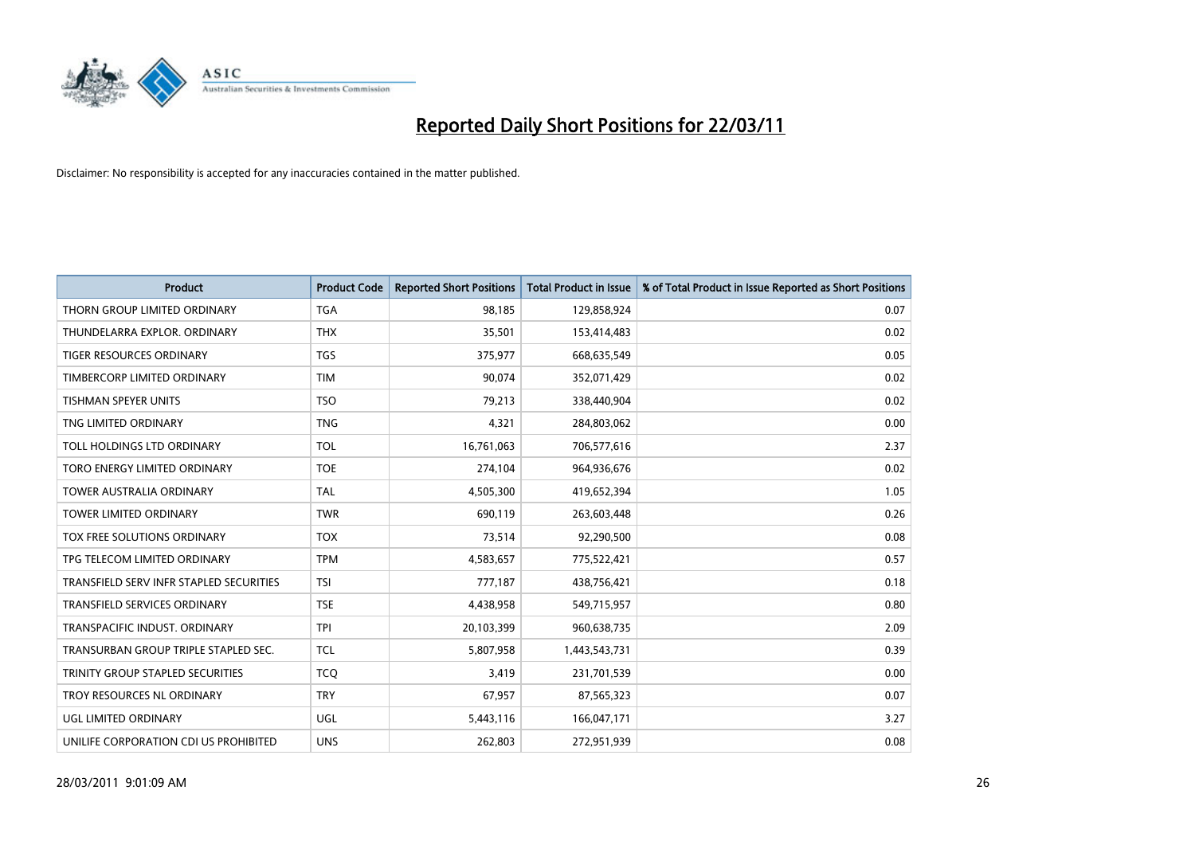

| <b>Product</b>                          | <b>Product Code</b> | <b>Reported Short Positions</b> | <b>Total Product in Issue</b> | % of Total Product in Issue Reported as Short Positions |
|-----------------------------------------|---------------------|---------------------------------|-------------------------------|---------------------------------------------------------|
| THORN GROUP LIMITED ORDINARY            | <b>TGA</b>          | 98,185                          | 129,858,924                   | 0.07                                                    |
| THUNDELARRA EXPLOR. ORDINARY            | <b>THX</b>          | 35,501                          | 153,414,483                   | 0.02                                                    |
| <b>TIGER RESOURCES ORDINARY</b>         | <b>TGS</b>          | 375,977                         | 668,635,549                   | 0.05                                                    |
| TIMBERCORP LIMITED ORDINARY             | <b>TIM</b>          | 90,074                          | 352,071,429                   | 0.02                                                    |
| <b>TISHMAN SPEYER UNITS</b>             | <b>TSO</b>          | 79,213                          | 338,440,904                   | 0.02                                                    |
| TNG LIMITED ORDINARY                    | <b>TNG</b>          | 4,321                           | 284,803,062                   | 0.00                                                    |
| TOLL HOLDINGS LTD ORDINARY              | <b>TOL</b>          | 16,761,063                      | 706,577,616                   | 2.37                                                    |
| TORO ENERGY LIMITED ORDINARY            | <b>TOE</b>          | 274,104                         | 964,936,676                   | 0.02                                                    |
| TOWER AUSTRALIA ORDINARY                | <b>TAL</b>          | 4,505,300                       | 419,652,394                   | 1.05                                                    |
| <b>TOWER LIMITED ORDINARY</b>           | <b>TWR</b>          | 690,119                         | 263,603,448                   | 0.26                                                    |
| TOX FREE SOLUTIONS ORDINARY             | <b>TOX</b>          | 73,514                          | 92,290,500                    | 0.08                                                    |
| TPG TELECOM LIMITED ORDINARY            | <b>TPM</b>          | 4,583,657                       | 775,522,421                   | 0.57                                                    |
| TRANSFIELD SERV INFR STAPLED SECURITIES | <b>TSI</b>          | 777,187                         | 438,756,421                   | 0.18                                                    |
| <b>TRANSFIELD SERVICES ORDINARY</b>     | <b>TSE</b>          | 4,438,958                       | 549,715,957                   | 0.80                                                    |
| TRANSPACIFIC INDUST, ORDINARY           | <b>TPI</b>          | 20,103,399                      | 960,638,735                   | 2.09                                                    |
| TRANSURBAN GROUP TRIPLE STAPLED SEC.    | <b>TCL</b>          | 5,807,958                       | 1,443,543,731                 | 0.39                                                    |
| TRINITY GROUP STAPLED SECURITIES        | <b>TCQ</b>          | 3,419                           | 231,701,539                   | 0.00                                                    |
| TROY RESOURCES NL ORDINARY              | <b>TRY</b>          | 67,957                          | 87,565,323                    | 0.07                                                    |
| <b>UGL LIMITED ORDINARY</b>             | <b>UGL</b>          | 5,443,116                       | 166,047,171                   | 3.27                                                    |
| UNILIFE CORPORATION CDI US PROHIBITED   | <b>UNS</b>          | 262,803                         | 272,951,939                   | 0.08                                                    |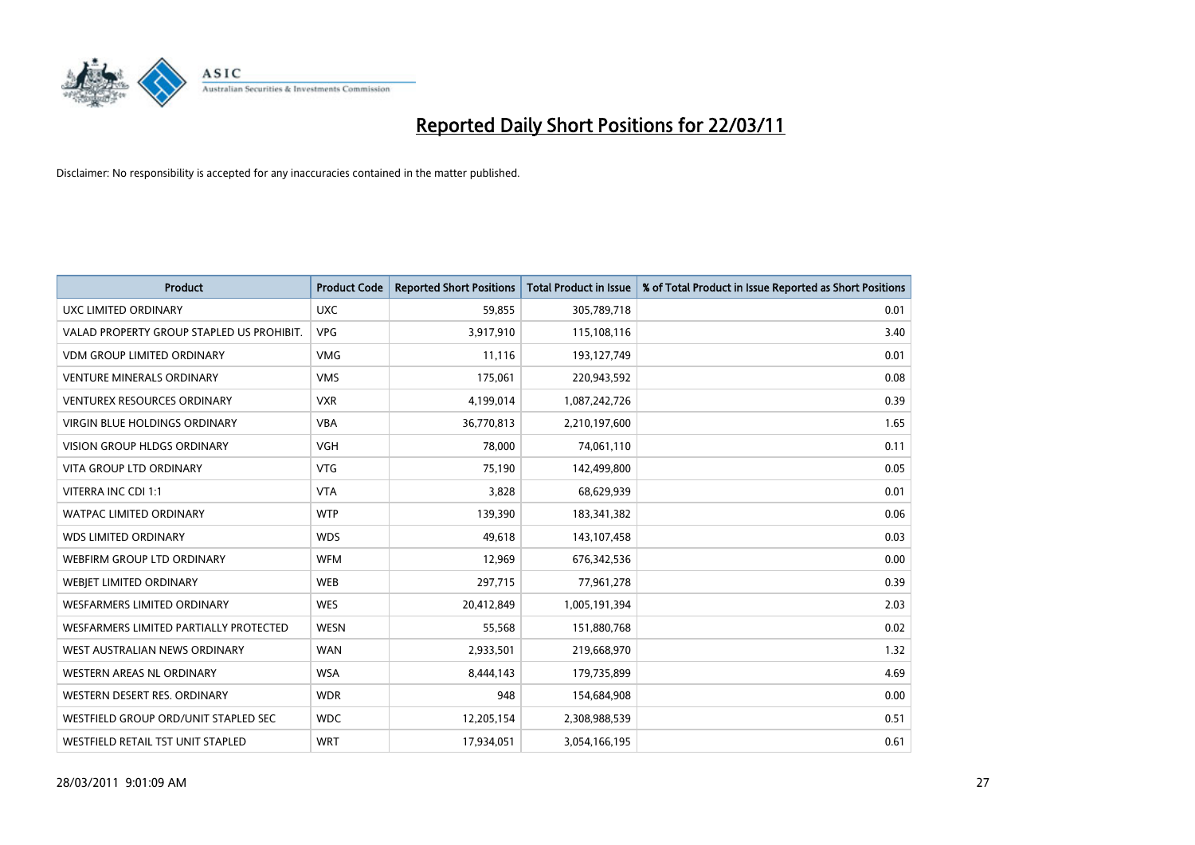

| Product                                   | <b>Product Code</b> | <b>Reported Short Positions</b> | Total Product in Issue | % of Total Product in Issue Reported as Short Positions |
|-------------------------------------------|---------------------|---------------------------------|------------------------|---------------------------------------------------------|
| UXC LIMITED ORDINARY                      | <b>UXC</b>          | 59,855                          | 305,789,718            | 0.01                                                    |
| VALAD PROPERTY GROUP STAPLED US PROHIBIT. | <b>VPG</b>          | 3,917,910                       | 115,108,116            | 3.40                                                    |
| <b>VDM GROUP LIMITED ORDINARY</b>         | <b>VMG</b>          | 11,116                          | 193,127,749            | 0.01                                                    |
| <b>VENTURE MINERALS ORDINARY</b>          | <b>VMS</b>          | 175,061                         | 220,943,592            | 0.08                                                    |
| <b>VENTUREX RESOURCES ORDINARY</b>        | <b>VXR</b>          | 4,199,014                       | 1,087,242,726          | 0.39                                                    |
| <b>VIRGIN BLUE HOLDINGS ORDINARY</b>      | <b>VBA</b>          | 36,770,813                      | 2,210,197,600          | 1.65                                                    |
| <b>VISION GROUP HLDGS ORDINARY</b>        | <b>VGH</b>          | 78,000                          | 74,061,110             | 0.11                                                    |
| <b>VITA GROUP LTD ORDINARY</b>            | <b>VTG</b>          | 75,190                          | 142,499,800            | 0.05                                                    |
| VITERRA INC CDI 1:1                       | <b>VTA</b>          | 3,828                           | 68,629,939             | 0.01                                                    |
| <b>WATPAC LIMITED ORDINARY</b>            | <b>WTP</b>          | 139,390                         | 183,341,382            | 0.06                                                    |
| <b>WDS LIMITED ORDINARY</b>               | <b>WDS</b>          | 49,618                          | 143,107,458            | 0.03                                                    |
| WEBFIRM GROUP LTD ORDINARY                | <b>WFM</b>          | 12,969                          | 676,342,536            | 0.00                                                    |
| WEBJET LIMITED ORDINARY                   | <b>WEB</b>          | 297,715                         | 77,961,278             | 0.39                                                    |
| <b>WESFARMERS LIMITED ORDINARY</b>        | <b>WES</b>          | 20,412,849                      | 1,005,191,394          | 2.03                                                    |
| WESFARMERS LIMITED PARTIALLY PROTECTED    | <b>WESN</b>         | 55,568                          | 151,880,768            | 0.02                                                    |
| WEST AUSTRALIAN NEWS ORDINARY             | <b>WAN</b>          | 2,933,501                       | 219,668,970            | 1.32                                                    |
| WESTERN AREAS NL ORDINARY                 | <b>WSA</b>          | 8,444,143                       | 179,735,899            | 4.69                                                    |
| WESTERN DESERT RES. ORDINARY              | <b>WDR</b>          | 948                             | 154,684,908            | 0.00                                                    |
| WESTFIELD GROUP ORD/UNIT STAPLED SEC      | <b>WDC</b>          | 12,205,154                      | 2,308,988,539          | 0.51                                                    |
| WESTFIELD RETAIL TST UNIT STAPLED         | <b>WRT</b>          | 17,934,051                      | 3,054,166,195          | 0.61                                                    |